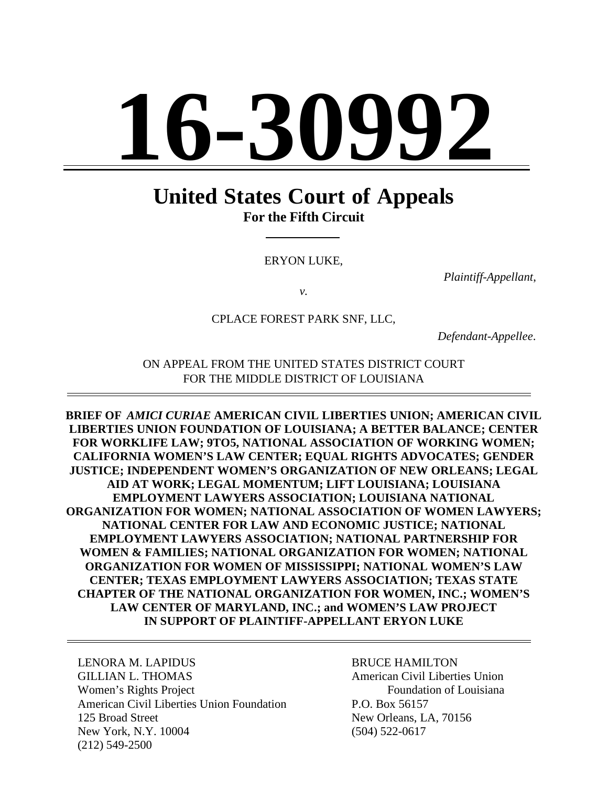# **16-30992**

# **United States Court of Appeals For the Fifth Circuit**

ERYON LUKE,

*Plaintiff-Appellant*,

*v.*

CPLACE FOREST PARK SNF, LLC,

*Defendant-Appellee*.

ON APPEAL FROM THE UNITED STATES DISTRICT COURT FOR THE MIDDLE DISTRICT OF LOUISIANA

**BRIEF OF** *AMICI CURIAE* **AMERICAN CIVIL LIBERTIES UNION; AMERICAN CIVIL LIBERTIES UNION FOUNDATION OF LOUISIANA; A BETTER BALANCE; CENTER FOR WORKLIFE LAW; 9TO5, NATIONAL ASSOCIATION OF WORKING WOMEN; CALIFORNIA WOMEN'S LAW CENTER; EQUAL RIGHTS ADVOCATES; GENDER JUSTICE; INDEPENDENT WOMEN'S ORGANIZATION OF NEW ORLEANS; LEGAL AID AT WORK; LEGAL MOMENTUM; LIFT LOUISIANA; LOUISIANA EMPLOYMENT LAWYERS ASSOCIATION; LOUISIANA NATIONAL ORGANIZATION FOR WOMEN; NATIONAL ASSOCIATION OF WOMEN LAWYERS; NATIONAL CENTER FOR LAW AND ECONOMIC JUSTICE; NATIONAL EMPLOYMENT LAWYERS ASSOCIATION; NATIONAL PARTNERSHIP FOR WOMEN & FAMILIES; NATIONAL ORGANIZATION FOR WOMEN; NATIONAL ORGANIZATION FOR WOMEN OF MISSISSIPPI; NATIONAL WOMEN'S LAW CENTER; TEXAS EMPLOYMENT LAWYERS ASSOCIATION; TEXAS STATE CHAPTER OF THE NATIONAL ORGANIZATION FOR WOMEN, INC.; WOMEN'S LAW CENTER OF MARYLAND, INC.; and WOMEN'S LAW PROJECT IN SUPPORT OF PLAINTIFF-APPELLANT ERYON LUKE**

**LENORA M. LAPIDUS BRUCE HAMILTON** GILLIAN L. THOMAS **American** Civil Liberties Union Women's Rights Project Foundation of Louisiana American Civil Liberties Union Foundation P.O. Box 56157 125 Broad Street New Orleans, LA, 70156 New York, N.Y. 10004 (504) 522-0617 (212) 549-2500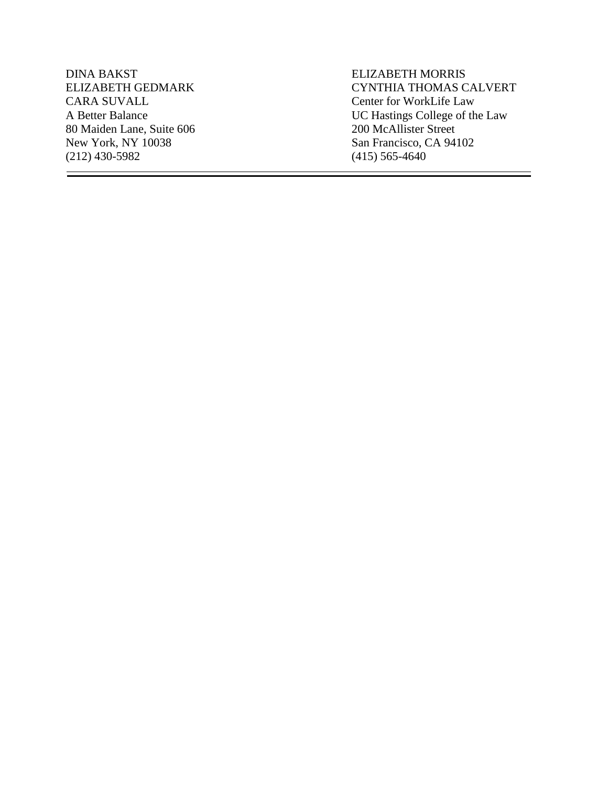DINA BAKST ELIZABETH MORRIS CARA SUVALL CARA SUVALL Center for WorkLife Law<br>
A Better Balance UC Hastings College of th 80 Maiden Lane, Suite 606 New York, NY 10038 San Francisco, CA 94102 (212) 430 -5982 (415) 565 -4640

 $\equiv$ 

# ELIZABETH GEDMARK CYNTHIA THOMAS CALVERT UC Hastings College of the Law<br>200 McAllister Street

-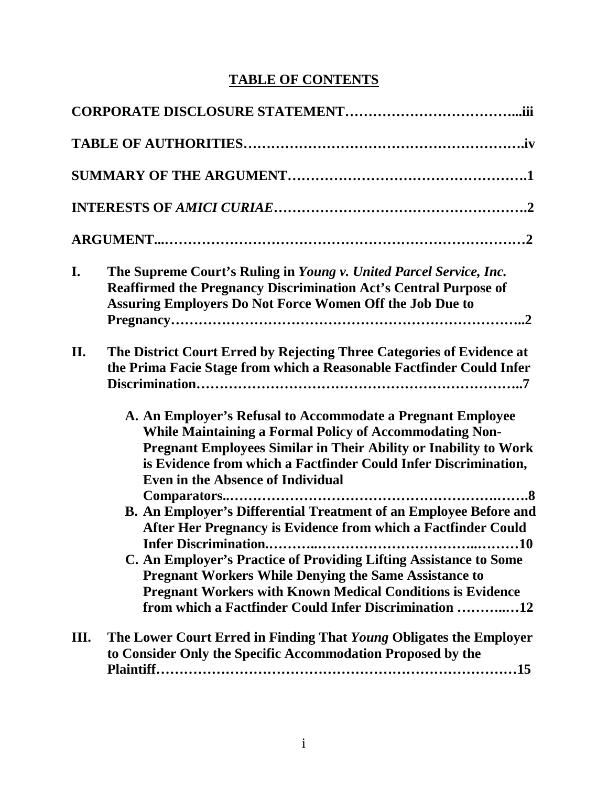# **TABLE OF CONTENTS**

| I.  | The Supreme Court's Ruling in Young v. United Parcel Service, Inc.<br><b>Reaffirmed the Pregnancy Discrimination Act's Central Purpose of</b><br><b>Assuring Employers Do Not Force Women Off the Job Due to</b>                                                                                                                                                                                      |
|-----|-------------------------------------------------------------------------------------------------------------------------------------------------------------------------------------------------------------------------------------------------------------------------------------------------------------------------------------------------------------------------------------------------------|
| II. | The District Court Erred by Rejecting Three Categories of Evidence at<br>the Prima Facie Stage from which a Reasonable Factfinder Could Infer                                                                                                                                                                                                                                                         |
|     | A. An Employer's Refusal to Accommodate a Pregnant Employee<br><b>While Maintaining a Formal Policy of Accommodating Non-</b><br><b>Pregnant Employees Similar in Their Ability or Inability to Work</b><br>is Evidence from which a Factfinder Could Infer Discrimination,<br><b>Even in the Absence of Individual</b>                                                                               |
|     | B. An Employer's Differential Treatment of an Employee Before and<br>After Her Pregnancy is Evidence from which a Factfinder Could<br>C. An Employer's Practice of Providing Lifting Assistance to Some<br><b>Pregnant Workers While Denying the Same Assistance to</b><br><b>Pregnant Workers with Known Medical Conditions is Evidence</b><br>from which a Factfinder Could Infer Discrimination 12 |
| Ш.  | The Lower Court Erred in Finding That Young Obligates the Employer<br>to Consider Only the Specific Accommodation Proposed by the                                                                                                                                                                                                                                                                     |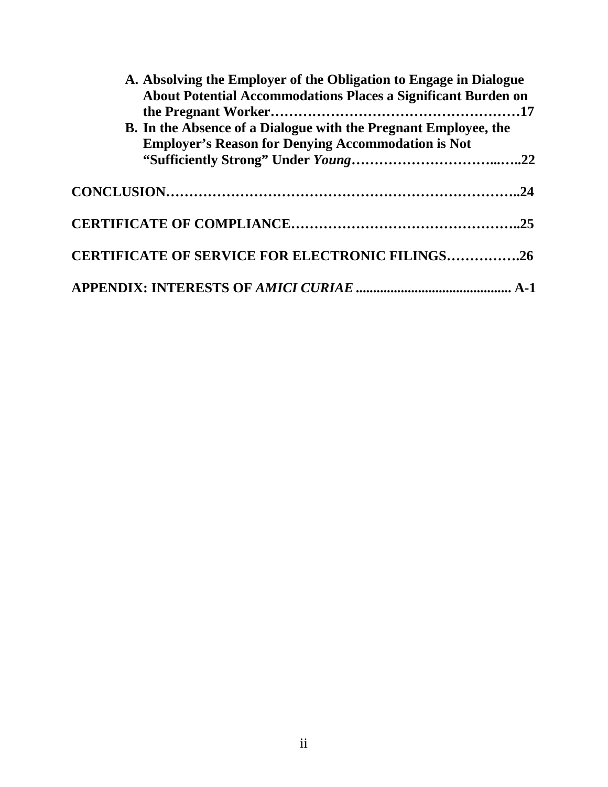| A. Absolving the Employer of the Obligation to Engage in Dialogue<br><b>About Potential Accommodations Places a Significant Burden on</b> |  |
|-------------------------------------------------------------------------------------------------------------------------------------------|--|
| B. In the Absence of a Dialogue with the Pregnant Employee, the<br><b>Employer's Reason for Denying Accommodation is Not</b>              |  |
|                                                                                                                                           |  |
|                                                                                                                                           |  |
|                                                                                                                                           |  |
| <b>CERTIFICATE OF SERVICE FOR ELECTRONIC FILINGS26</b>                                                                                    |  |
|                                                                                                                                           |  |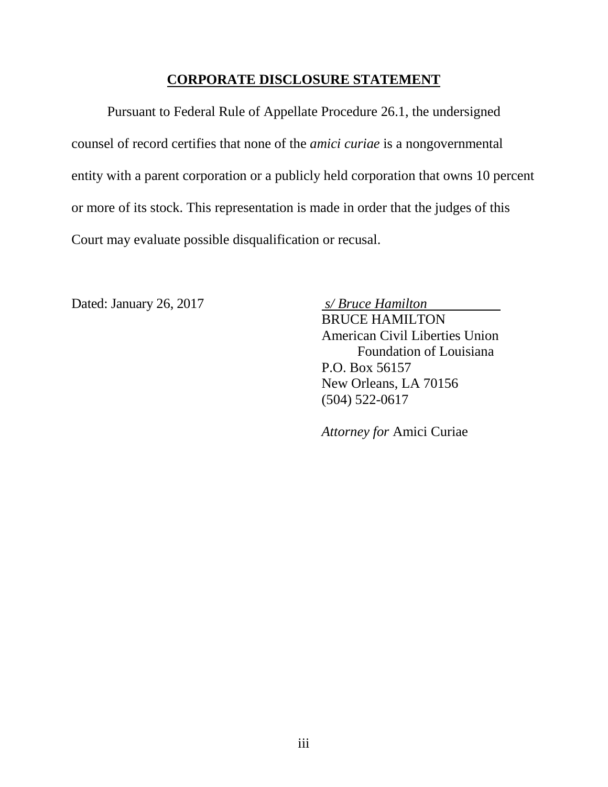#### **CORPORATE DISCLOSURE STATEMENT**

Pursuant to Federal Rule of Appellate Procedure 26.1, the undersigned counsel of record certifies that none of the *amici curiae* is a nongovernmental entity with a parent corporation or a publicly held corporation that owns 10 percent or more of its stock. This representation is made in order that the judges of this Court may evaluate possible disqualification or recusal.

Dated: January 26, 2017 *s/ Bruce Hamilton* 

BRUCE HAMILTON American Civil Liberties Union Foundation of Louisiana P.O. Box 56157 New Orleans, LA 70156 (504) 522-0617

*Attorney for* Amici Curiae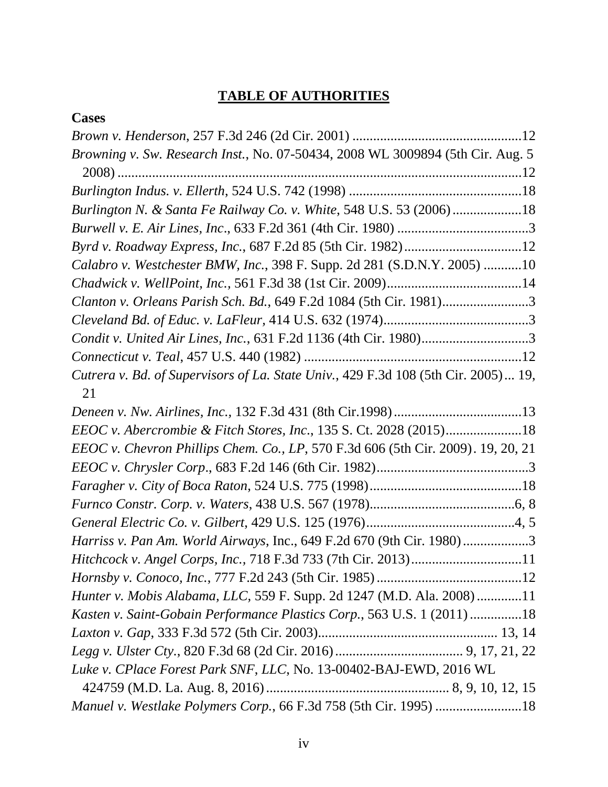# **TABLE OF AUTHORITIES**

| <b>Cases</b>                                                                             |
|------------------------------------------------------------------------------------------|
|                                                                                          |
| Browning v. Sw. Research Inst., No. 07-50434, 2008 WL 3009894 (5th Cir. Aug. 5)          |
|                                                                                          |
| Burlington N. & Santa Fe Railway Co. v. White, 548 U.S. 53 (2006)18                      |
|                                                                                          |
|                                                                                          |
| Calabro v. Westchester BMW, Inc., 398 F. Supp. 2d 281 (S.D.N.Y. 2005) 10                 |
|                                                                                          |
| Clanton v. Orleans Parish Sch. Bd., 649 F.2d 1084 (5th Cir. 1981)3                       |
|                                                                                          |
| Condit v. United Air Lines, Inc., 631 F.2d 1136 (4th Cir. 1980)3                         |
|                                                                                          |
| Cutrera v. Bd. of Supervisors of La. State Univ., 429 F.3d 108 (5th Cir. 2005) 19,<br>21 |
|                                                                                          |
| EEOC v. Abercrombie & Fitch Stores, Inc., 135 S. Ct. 2028 (2015)18                       |
| EEOC v. Chevron Phillips Chem. Co., LP, 570 F.3d 606 (5th Cir. 2009). 19, 20, 21         |
|                                                                                          |
|                                                                                          |
|                                                                                          |
|                                                                                          |
| Harriss v. Pan Am. World Airways, Inc., 649 F.2d 670 (9th Cir. 1980)3                    |
|                                                                                          |
|                                                                                          |
| Hunter v. Mobis Alabama, LLC, 559 F. Supp. 2d 1247 (M.D. Ala. 2008) 11                   |
| Kasten v. Saint-Gobain Performance Plastics Corp., 563 U.S. 1 (2011) 18                  |
|                                                                                          |
|                                                                                          |
| Luke v. CPlace Forest Park SNF, LLC, No. 13-00402-BAJ-EWD, 2016 WL                       |
|                                                                                          |
| Manuel v. Westlake Polymers Corp., 66 F.3d 758 (5th Cir. 1995) 18                        |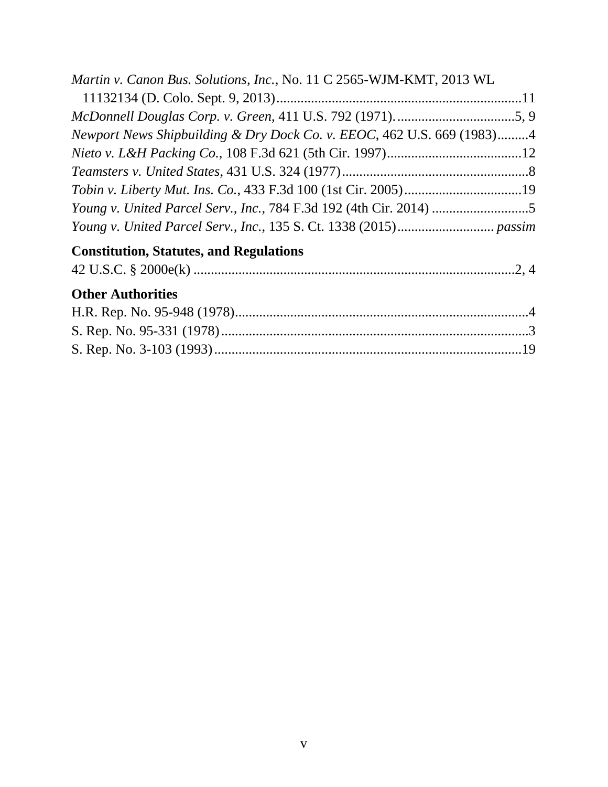| Martin v. Canon Bus. Solutions, Inc., No. 11 C 2565-WJM-KMT, 2013 WL   |  |
|------------------------------------------------------------------------|--|
|                                                                        |  |
|                                                                        |  |
| Newport News Shipbuilding & Dry Dock Co. v. EEOC, 462 U.S. 669 (1983)4 |  |
|                                                                        |  |
|                                                                        |  |
|                                                                        |  |
|                                                                        |  |
|                                                                        |  |
| <b>Constitution, Statutes, and Regulations</b>                         |  |

| <b>Other Authorities</b> |  |
|--------------------------|--|
|                          |  |
|                          |  |
|                          |  |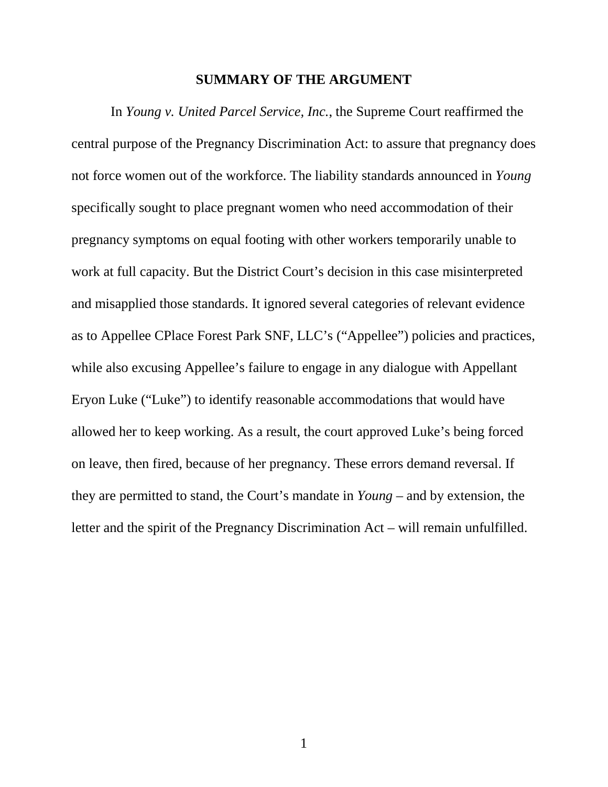#### **SUMMARY OF THE ARGUMENT**

In *Young v. United Parcel Service, Inc.*, the Supreme Court reaffirmed the central purpose of the Pregnancy Discrimination Act: to assure that pregnancy does not force women out of the workforce. The liability standards announced in *Young* specifically sought to place pregnant women who need accommodation of their pregnancy symptoms on equal footing with other workers temporarily unable to work at full capacity. But the District Court's decision in this case misinterpreted and misapplied those standards. It ignored several categories of relevant evidence as to Appellee CPlace Forest Park SNF, LLC's ("Appellee") policies and practices, while also excusing Appellee's failure to engage in any dialogue with Appellant Eryon Luke ("Luke") to identify reasonable accommodations that would have allowed her to keep working. As a result, the court approved Luke's being forced on leave, then fired, because of her pregnancy. These errors demand reversal. If they are permitted to stand, the Court's mandate in *Young* – and by extension, the letter and the spirit of the Pregnancy Discrimination Act – will remain unfulfilled.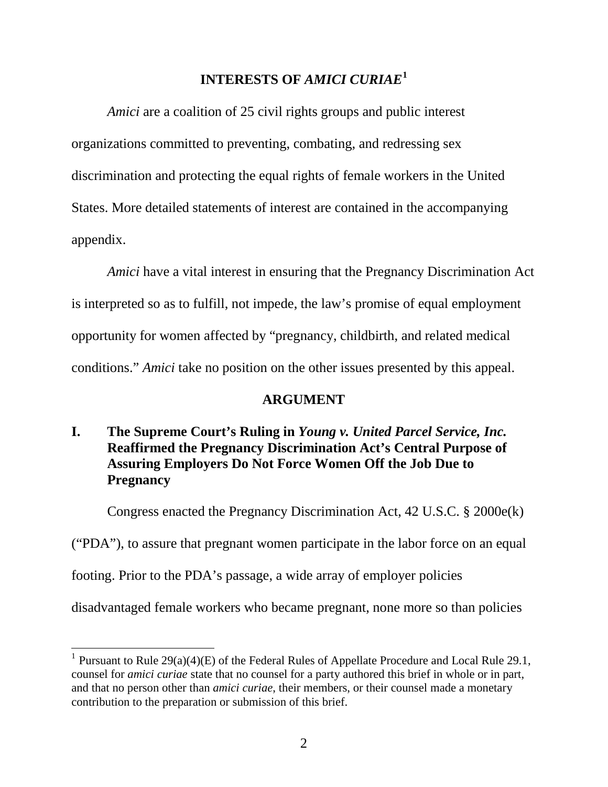#### **INTERESTS OF** *AMICI CURIAE***[1](#page-8-0)**

*Amici* are a coalition of 25 civil rights groups and public interest organizations committed to preventing, combating, and redressing sex discrimination and protecting the equal rights of female workers in the United States. More detailed statements of interest are contained in the accompanying appendix.

*Amici* have a vital interest in ensuring that the Pregnancy Discrimination Act is interpreted so as to fulfill, not impede, the law's promise of equal employment opportunity for women affected by "pregnancy, childbirth, and related medical conditions." *Amici* take no position on the other issues presented by this appeal.

#### **ARGUMENT**

#### **I. The Supreme Court's Ruling in** *Young v. United Parcel Service, Inc.* **Reaffirmed the Pregnancy Discrimination Act's Central Purpose of Assuring Employers Do Not Force Women Off the Job Due to Pregnancy**

Congress enacted the Pregnancy Discrimination Act, 42 U.S.C. § 2000e(k) ("PDA"), to assure that pregnant women participate in the labor force on an equal footing. Prior to the PDA's passage, a wide array of employer policies disadvantaged female workers who became pregnant, none more so than policies

<span id="page-8-0"></span><sup>&</sup>lt;sup>1</sup> Pursuant to Rule 29(a)(4)(E) of the Federal Rules of Appellate Procedure and Local Rule 29.1, counsel for *amici curiae* state that no counsel for a party authored this brief in whole or in part, and that no person other than *amici curiae*, their members, or their counsel made a monetary contribution to the preparation or submission of this brief.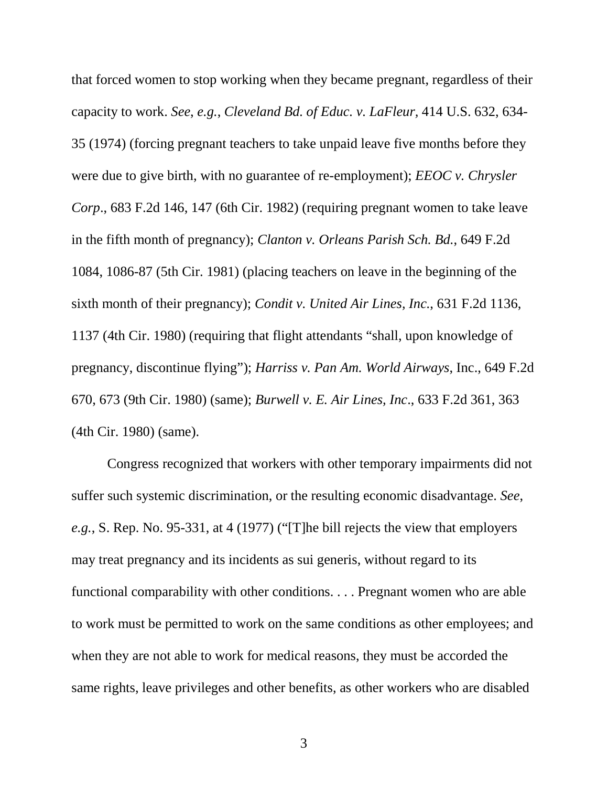that forced women to stop working when they became pregnant, regardless of their capacity to work. *See*, *e.g.*, *Cleveland Bd. of Educ. v. LaFleur,* 414 U.S. 632, 634- 35 (1974) (forcing pregnant teachers to take unpaid leave five months before they were due to give birth, with no guarantee of re-employment); *EEOC v. Chrysler Corp*., 683 F.2d 146, 147 (6th Cir. 1982) (requiring pregnant women to take leave in the fifth month of pregnancy); *Clanton v. Orleans Parish Sch. Bd.*, 649 F.2d 1084, 1086-87 (5th Cir. 1981) (placing teachers on leave in the beginning of the sixth month of their pregnancy); *Condit v. United Air Lines, Inc.*, 631 F.2d 1136, 1137 (4th Cir. 1980) (requiring that flight attendants "shall, upon knowledge of pregnancy, discontinue flying"); *Harriss v. Pan Am. World Airways*, Inc., 649 F.2d 670, 673 (9th Cir. 1980) (same); *Burwell v. E. Air Lines, Inc*., 633 F.2d 361, 363 (4th Cir. 1980) (same).

Congress recognized that workers with other temporary impairments did not suffer such systemic discrimination, or the resulting economic disadvantage. *See*, *e.g.*, S. Rep. No. 95-331, at 4 (1977) ("[T]he bill rejects the view that employers may treat pregnancy and its incidents as sui generis, without regard to its functional comparability with other conditions. . . . Pregnant women who are able to work must be permitted to work on the same conditions as other employees; and when they are not able to work for medical reasons, they must be accorded the same rights, leave privileges and other benefits, as other workers who are disabled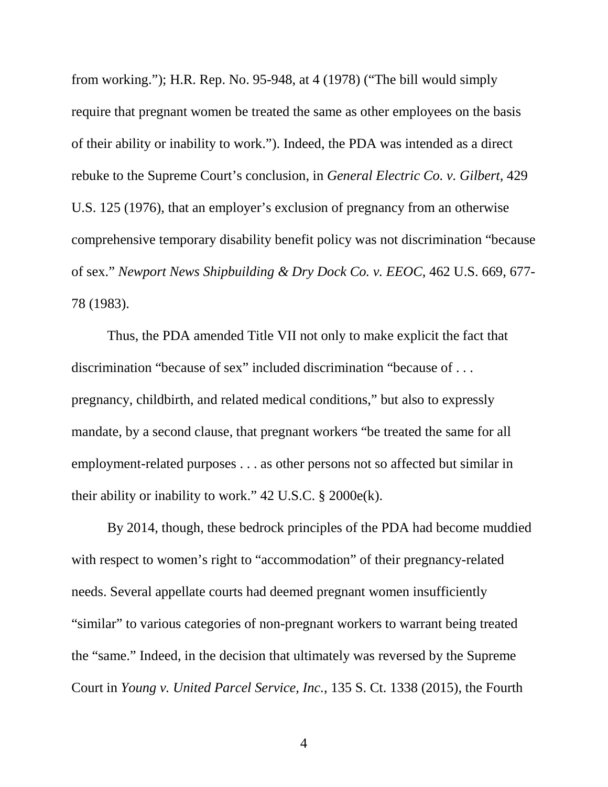from working."); H.R. Rep. No. 95-948, at 4 (1978) ("The bill would simply require that pregnant women be treated the same as other employees on the basis of their ability or inability to work."). Indeed, the PDA was intended as a direct rebuke to the Supreme Court's conclusion, in *General Electric Co. v. Gilbert*, 429 U.S. 125 (1976), that an employer's exclusion of pregnancy from an otherwise comprehensive temporary disability benefit policy was not discrimination "because of sex." *Newport News Shipbuilding & Dry Dock Co. v. EEOC*, 462 U.S. 669, 677- 78 (1983).

Thus, the PDA amended Title VII not only to make explicit the fact that discrimination "because of sex" included discrimination "because of . . . pregnancy, childbirth, and related medical conditions," but also to expressly mandate, by a second clause, that pregnant workers "be treated the same for all employment-related purposes . . . as other persons not so affected but similar in their ability or inability to work."  $42$  U.S.C. § 2000 $e(k)$ .

By 2014, though, these bedrock principles of the PDA had become muddied with respect to women's right to "accommodation" of their pregnancy-related needs. Several appellate courts had deemed pregnant women insufficiently "similar" to various categories of non-pregnant workers to warrant being treated the "same." Indeed, in the decision that ultimately was reversed by the Supreme Court in *Young v. United Parcel Service, Inc.*, 135 S. Ct. 1338 (2015), the Fourth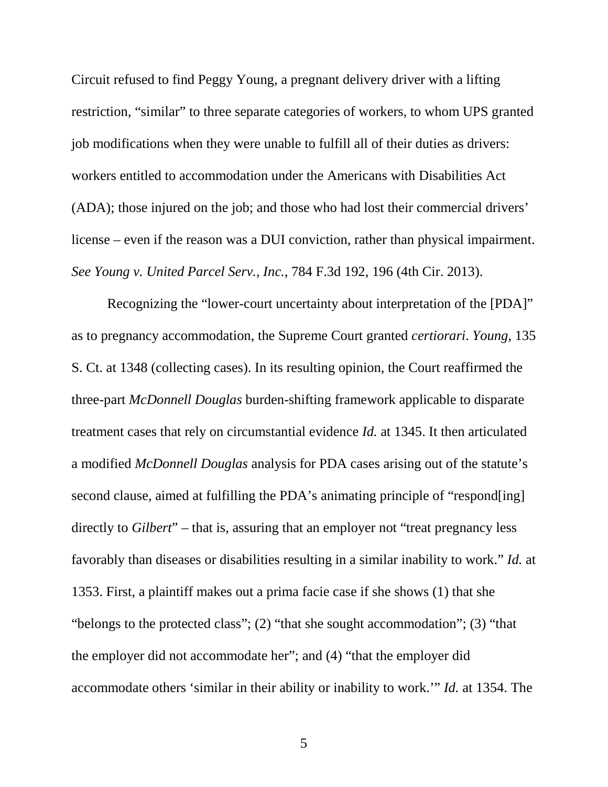Circuit refused to find Peggy Young, a pregnant delivery driver with a lifting restriction, "similar" to three separate categories of workers, to whom UPS granted job modifications when they were unable to fulfill all of their duties as drivers: workers entitled to accommodation under the Americans with Disabilities Act (ADA); those injured on the job; and those who had lost their commercial drivers' license – even if the reason was a DUI conviction, rather than physical impairment. *See Young v. United Parcel Serv., Inc.*, 784 F.3d 192, 196 (4th Cir. 2013).

Recognizing the "lower-court uncertainty about interpretation of the [PDA]" as to pregnancy accommodation, the Supreme Court granted *certiorari*. *Young*, 135 S. Ct. at 1348 (collecting cases). In its resulting opinion, the Court reaffirmed the three-part *McDonnell Douglas* burden-shifting framework applicable to disparate treatment cases that rely on circumstantial evidence *Id.* at 1345. It then articulated a modified *McDonnell Douglas* analysis for PDA cases arising out of the statute's second clause, aimed at fulfilling the PDA's animating principle of "respond[ing] directly to *Gilbert*" – that is, assuring that an employer not "treat pregnancy less favorably than diseases or disabilities resulting in a similar inability to work." *Id.* at 1353. First, a plaintiff makes out a prima facie case if she shows (1) that she "belongs to the protected class"; (2) "that she sought accommodation"; (3) "that the employer did not accommodate her"; and (4) "that the employer did accommodate others 'similar in their ability or inability to work.'" *Id.* at 1354. The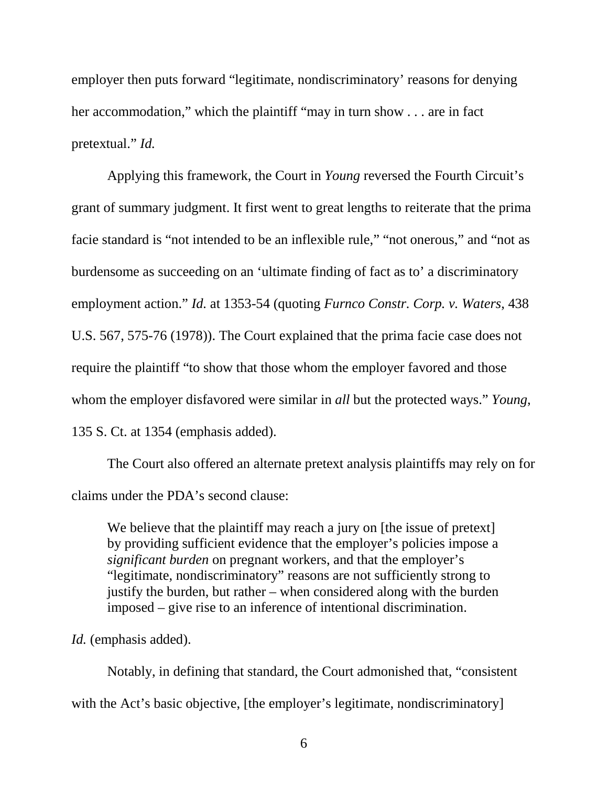employer then puts forward "legitimate, nondiscriminatory' reasons for denying her accommodation," which the plaintiff "may in turn show . . . are in fact pretextual." *Id.*

Applying this framework, the Court in *Young* reversed the Fourth Circuit's grant of summary judgment. It first went to great lengths to reiterate that the prima facie standard is "not intended to be an inflexible rule," "not onerous," and "not as burdensome as succeeding on an 'ultimate finding of fact as to' a discriminatory employment action." *Id.* at 1353-54 (quoting *Furnco Constr. Corp. v. Waters*, 438 U.S. 567, 575-76 (1978)). The Court explained that the prima facie case does not require the plaintiff "to show that those whom the employer favored and those whom the employer disfavored were similar in *all* but the protected ways." *Young*, 135 S. Ct. at 1354 (emphasis added).

The Court also offered an alternate pretext analysis plaintiffs may rely on for claims under the PDA's second clause:

We believe that the plaintiff may reach a jury on [the issue of pretext] by providing sufficient evidence that the employer's policies impose a *significant burden* on pregnant workers, and that the employer's "legitimate, nondiscriminatory" reasons are not sufficiently strong to justify the burden, but rather – when considered along with the burden imposed – give rise to an inference of intentional discrimination.

*Id.* (emphasis added).

Notably, in defining that standard, the Court admonished that, "consistent with the Act's basic objective, [the employer's legitimate, nondiscriminatory]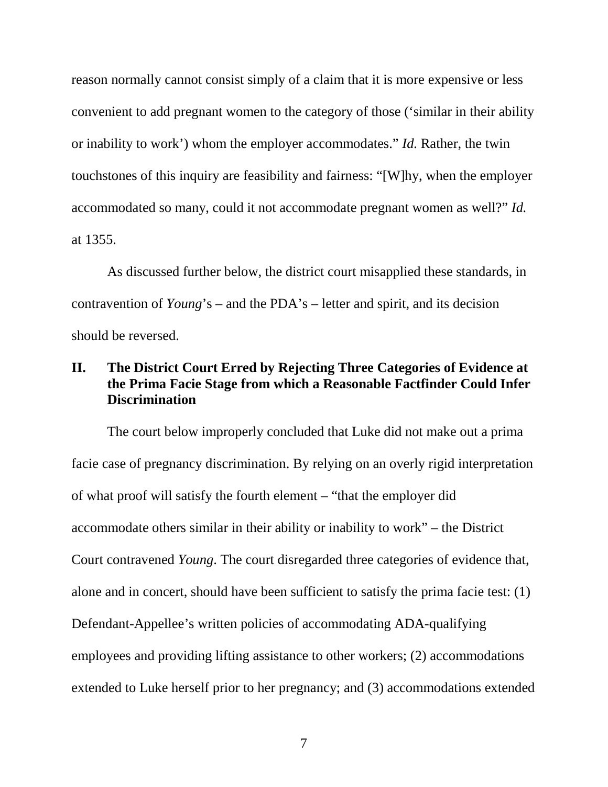reason normally cannot consist simply of a claim that it is more expensive or less convenient to add pregnant women to the category of those ('similar in their ability or inability to work') whom the employer accommodates." *Id.* Rather, the twin touchstones of this inquiry are feasibility and fairness: "[W]hy, when the employer accommodated so many, could it not accommodate pregnant women as well?" *Id.* at 1355.

As discussed further below, the district court misapplied these standards, in contravention of *Young*'s – and the PDA's – letter and spirit, and its decision should be reversed.

#### **II. The District Court Erred by Rejecting Three Categories of Evidence at the Prima Facie Stage from which a Reasonable Factfinder Could Infer Discrimination**

The court below improperly concluded that Luke did not make out a prima facie case of pregnancy discrimination. By relying on an overly rigid interpretation of what proof will satisfy the fourth element – "that the employer did accommodate others similar in their ability or inability to work" – the District Court contravened *Young*. The court disregarded three categories of evidence that, alone and in concert, should have been sufficient to satisfy the prima facie test: (1) Defendant-Appellee's written policies of accommodating ADA-qualifying employees and providing lifting assistance to other workers; (2) accommodations extended to Luke herself prior to her pregnancy; and (3) accommodations extended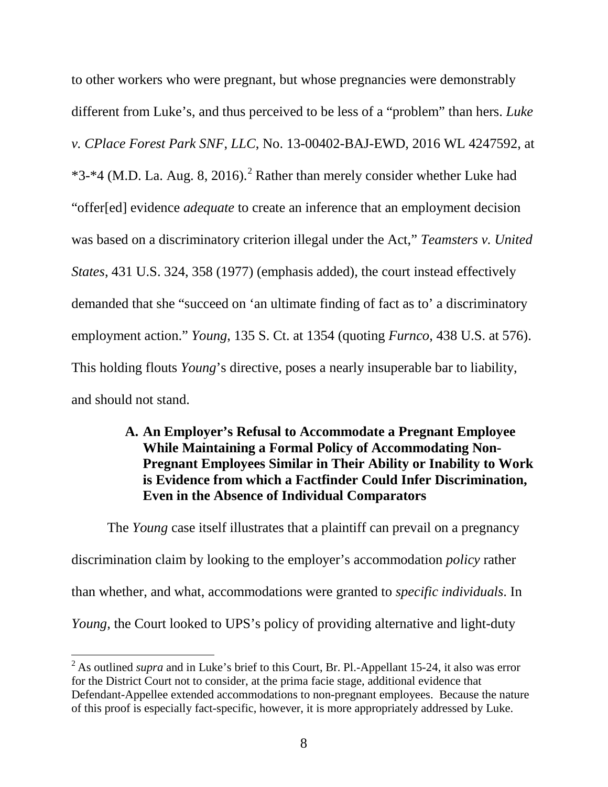to other workers who were pregnant, but whose pregnancies were demonstrably different from Luke's, and thus perceived to be less of a "problem" than hers. *Luke v. CPlace Forest Park SNF*, *LLC*, No. 13-00402-BAJ-EWD, 2016 WL 4247592, at  $*3-*4$  (M.D. La. Aug. 8, [2](#page-14-0)016).<sup>2</sup> Rather than merely consider whether Luke had "offer[ed] evidence *adequate* to create an inference that an employment decision was based on a discriminatory criterion illegal under the Act," *Teamsters v. United States*, 431 U.S. 324, 358 (1977) (emphasis added), the court instead effectively demanded that she "succeed on 'an ultimate finding of fact as to' a discriminatory employment action." *Young*, 135 S. Ct. at 1354 (quoting *Furnco*, 438 U.S. at 576). This holding flouts *Young*'s directive, poses a nearly insuperable bar to liability, and should not stand.

#### **A. An Employer's Refusal to Accommodate a Pregnant Employee While Maintaining a Formal Policy of Accommodating Non-Pregnant Employees Similar in Their Ability or Inability to Work is Evidence from which a Factfinder Could Infer Discrimination, Even in the Absence of Individual Comparators**

The *Young* case itself illustrates that a plaintiff can prevail on a pregnancy discrimination claim by looking to the employer's accommodation *policy* rather than whether, and what, accommodations were granted to *specific individuals*. In *Young*, the Court looked to UPS's policy of providing alternative and light-duty

<span id="page-14-0"></span><sup>&</sup>lt;sup>2</sup> As outlined *supra* and in Luke's brief to this Court, Br. Pl.-Appellant 15-24, it also was error for the District Court not to consider, at the prima facie stage, additional evidence that Defendant-Appellee extended accommodations to non-pregnant employees. Because the nature of this proof is especially fact-specific, however, it is more appropriately addressed by Luke.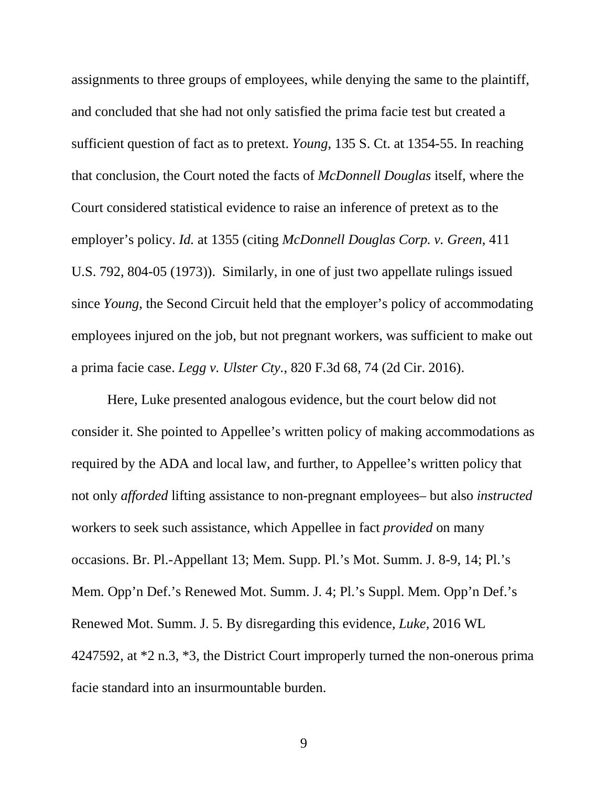assignments to three groups of employees, while denying the same to the plaintiff, and concluded that she had not only satisfied the prima facie test but created a sufficient question of fact as to pretext. *Young*, 135 S. Ct. at 1354-55. In reaching that conclusion, the Court noted the facts of *McDonnell Douglas* itself, where the Court considered statistical evidence to raise an inference of pretext as to the employer's policy. *Id.* at 1355 (citing *McDonnell Douglas Corp. v. Green*, 411 U.S. 792, 804-05 (1973)). Similarly, in one of just two appellate rulings issued since *Young*, the Second Circuit held that the employer's policy of accommodating employees injured on the job, but not pregnant workers, was sufficient to make out a prima facie case. *Legg v. Ulster Cty.*, 820 F.3d 68, 74 (2d Cir. 2016).

Here, Luke presented analogous evidence, but the court below did not consider it. She pointed to Appellee's written policy of making accommodations as required by the ADA and local law, and further, to Appellee's written policy that not only *afforded* lifting assistance to non-pregnant employees– but also *instructed*  workers to seek such assistance, which Appellee in fact *provided* on many occasions. Br. Pl.-Appellant 13; Mem. Supp. Pl.'s Mot. Summ. J. 8-9, 14; Pl.'s Mem. Opp'n Def.'s Renewed Mot. Summ. J. 4; Pl.'s Suppl. Mem. Opp'n Def.'s Renewed Mot. Summ. J. 5. By disregarding this evidence, *Luke,* 2016 WL 4247592, at \*2 n.3, \*3, the District Court improperly turned the non-onerous prima facie standard into an insurmountable burden.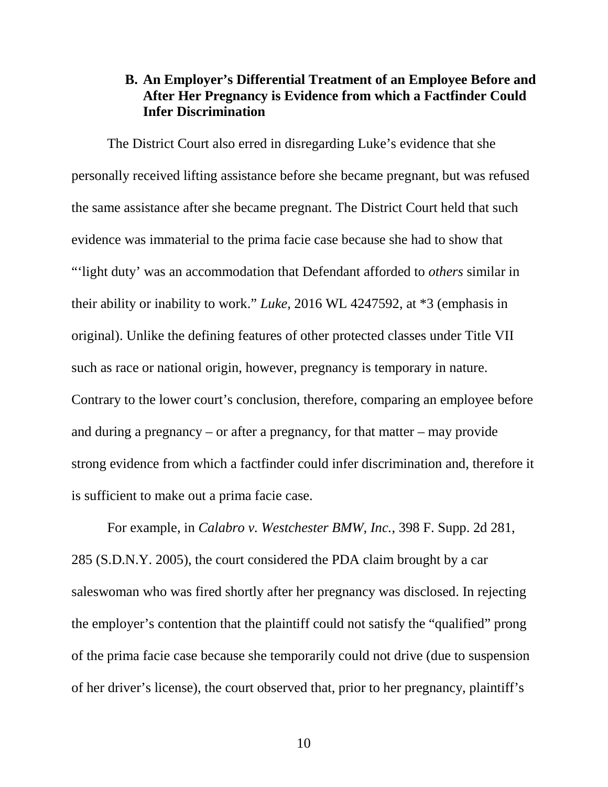#### **B. An Employer's Differential Treatment of an Employee Before and After Her Pregnancy is Evidence from which a Factfinder Could Infer Discrimination**

The District Court also erred in disregarding Luke's evidence that she personally received lifting assistance before she became pregnant, but was refused the same assistance after she became pregnant. The District Court held that such evidence was immaterial to the prima facie case because she had to show that "'light duty' was an accommodation that Defendant afforded to *others* similar in their ability or inability to work." *Luke,* 2016 WL 4247592, at \*3 (emphasis in original). Unlike the defining features of other protected classes under Title VII such as race or national origin, however, pregnancy is temporary in nature. Contrary to the lower court's conclusion, therefore, comparing an employee before and during a pregnancy – or after a pregnancy, for that matter – may provide strong evidence from which a factfinder could infer discrimination and, therefore it is sufficient to make out a prima facie case.

For example, in *Calabro v. Westchester BMW, Inc.*, 398 F. Supp. 2d 281, 285 (S.D.N.Y. 2005), the court considered the PDA claim brought by a car saleswoman who was fired shortly after her pregnancy was disclosed. In rejecting the employer's contention that the plaintiff could not satisfy the "qualified" prong of the prima facie case because she temporarily could not drive (due to suspension of her driver's license), the court observed that, prior to her pregnancy, plaintiff's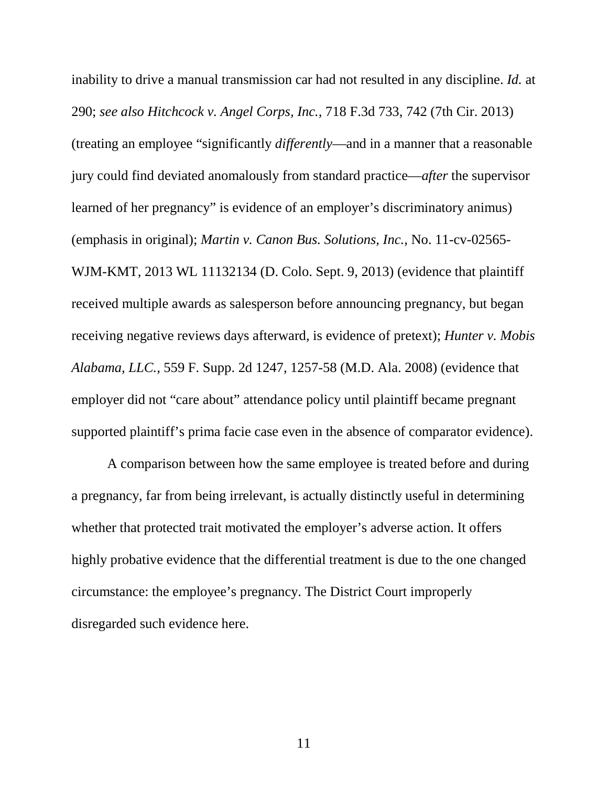inability to drive a manual transmission car had not resulted in any discipline. *Id.* at 290; *see also Hitchcock v. Angel Corps, Inc.,* 718 F.3d 733, 742 (7th Cir. 2013) (treating an employee "significantly *differently*—and in a manner that a reasonable jury could find deviated anomalously from standard practice—*after* the supervisor learned of her pregnancy" is evidence of an employer's discriminatory animus) (emphasis in original); *Martin v. Canon Bus. Solutions, Inc.*, No. 11-cv-02565- WJM-KMT, 2013 WL 11132134 (D. Colo. Sept. 9, 2013) (evidence that plaintiff received multiple awards as salesperson before announcing pregnancy, but began receiving negative reviews days afterward, is evidence of pretext); *Hunter v. Mobis Alabama, LLC.,* 559 F. Supp. 2d 1247, 1257-58 (M.D. Ala. 2008) (evidence that employer did not "care about" attendance policy until plaintiff became pregnant supported plaintiff's prima facie case even in the absence of comparator evidence).

A comparison between how the same employee is treated before and during a pregnancy, far from being irrelevant, is actually distinctly useful in determining whether that protected trait motivated the employer's adverse action. It offers highly probative evidence that the differential treatment is due to the one changed circumstance: the employee's pregnancy. The District Court improperly disregarded such evidence here.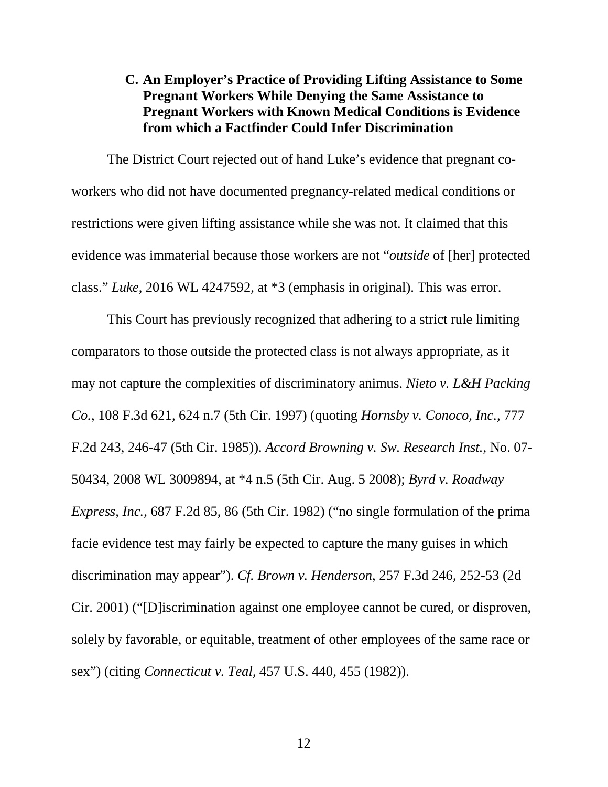#### **C. An Employer's Practice of Providing Lifting Assistance to Some Pregnant Workers While Denying the Same Assistance to Pregnant Workers with Known Medical Conditions is Evidence from which a Factfinder Could Infer Discrimination**

The District Court rejected out of hand Luke's evidence that pregnant coworkers who did not have documented pregnancy-related medical conditions or restrictions were given lifting assistance while she was not. It claimed that this evidence was immaterial because those workers are not "*outside* of [her] protected class." *Luke*, 2016 WL 4247592, at \*3 (emphasis in original). This was error.

This Court has previously recognized that adhering to a strict rule limiting comparators to those outside the protected class is not always appropriate, as it may not capture the complexities of discriminatory animus. *Nieto v. L&H Packing Co.*, 108 F.3d 621, 624 n.7 (5th Cir. 1997) (quoting *Hornsby v. Conoco, Inc.*, 777 F.2d 243, 246-47 (5th Cir. 1985)). *Accord Browning v. Sw. Research Inst.*, No. 07- 50434, 2008 WL 3009894, at \*4 n.5 (5th Cir. Aug. 5 2008); *Byrd v. Roadway Express, Inc.*, 687 F.2d 85, 86 (5th Cir. 1982) ("no single formulation of the prima facie evidence test may fairly be expected to capture the many guises in which discrimination may appear"). *Cf. Brown v. Henderson*, 257 F.3d 246, 252-53 (2d Cir. 2001) ("[D]iscrimination against one employee cannot be cured, or disproven, solely by favorable, or equitable, treatment of other employees of the same race or sex") (citing *Connecticut v. Teal*, 457 U.S. 440, 455 (1982)).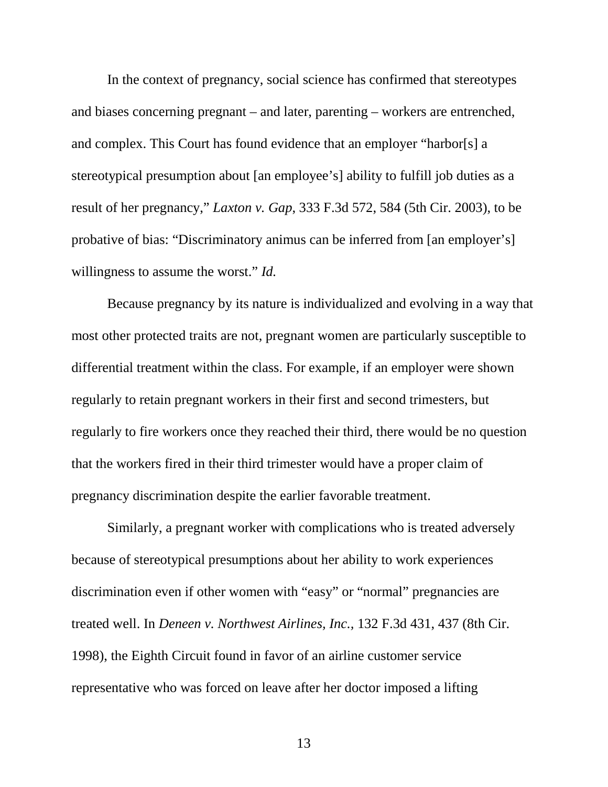In the context of pregnancy, social science has confirmed that stereotypes and biases concerning pregnant – and later, parenting – workers are entrenched, and complex. This Court has found evidence that an employer "harbor[s] a stereotypical presumption about [an employee's] ability to fulfill job duties as a result of her pregnancy," *Laxton v. Gap*, 333 F.3d 572, 584 (5th Cir. 2003), to be probative of bias: "Discriminatory animus can be inferred from [an employer's] willingness to assume the worst." *Id.*

Because pregnancy by its nature is individualized and evolving in a way that most other protected traits are not, pregnant women are particularly susceptible to differential treatment within the class. For example, if an employer were shown regularly to retain pregnant workers in their first and second trimesters, but regularly to fire workers once they reached their third, there would be no question that the workers fired in their third trimester would have a proper claim of pregnancy discrimination despite the earlier favorable treatment.

Similarly, a pregnant worker with complications who is treated adversely because of stereotypical presumptions about her ability to work experiences discrimination even if other women with "easy" or "normal" pregnancies are treated well. In *Deneen v. Northwest Airlines, Inc.,* 132 F.3d 431, 437 (8th Cir. 1998), the Eighth Circuit found in favor of an airline customer service representative who was forced on leave after her doctor imposed a lifting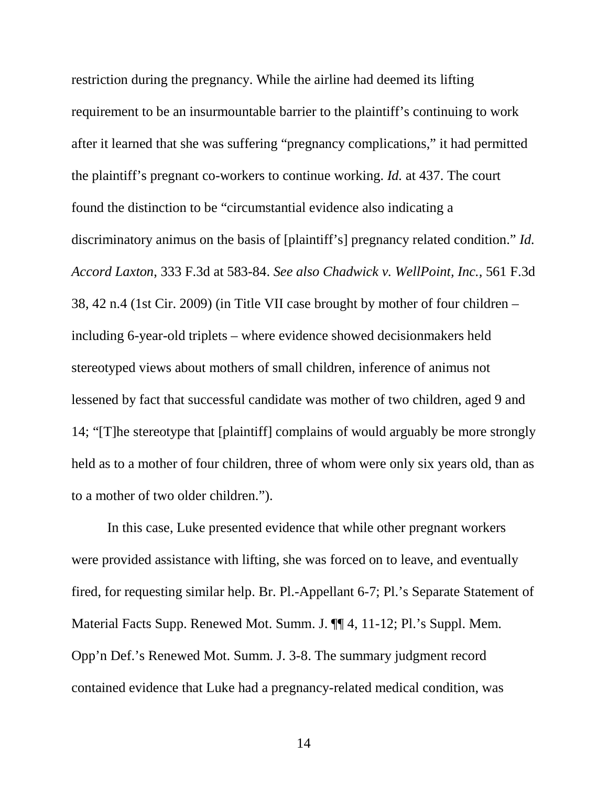restriction during the pregnancy. While the airline had deemed its lifting requirement to be an insurmountable barrier to the plaintiff's continuing to work after it learned that she was suffering "pregnancy complications," it had permitted the plaintiff's pregnant co-workers to continue working. *Id.* at 437. The court found the distinction to be "circumstantial evidence also indicating a discriminatory animus on the basis of [plaintiff's] pregnancy related condition." *Id. Accord Laxton*, 333 F.3d at 583-84. *See also Chadwick v. WellPoint, Inc.,* 561 F.3d 38, 42 n.4 (1st Cir. 2009) (in Title VII case brought by mother of four children – including 6-year-old triplets – where evidence showed decisionmakers held stereotyped views about mothers of small children, inference of animus not lessened by fact that successful candidate was mother of two children, aged 9 and 14; "[T]he stereotype that [plaintiff] complains of would arguably be more strongly held as to a mother of four children, three of whom were only six years old, than as to a mother of two older children.").

In this case, Luke presented evidence that while other pregnant workers were provided assistance with lifting, she was forced on to leave, and eventually fired, for requesting similar help. Br. Pl.-Appellant 6-7; Pl.'s Separate Statement of Material Facts Supp. Renewed Mot. Summ. J. ¶¶ 4, 11-12; Pl.'s Suppl. Mem. Opp'n Def.'s Renewed Mot. Summ. J. 3-8. The summary judgment record contained evidence that Luke had a pregnancy-related medical condition, was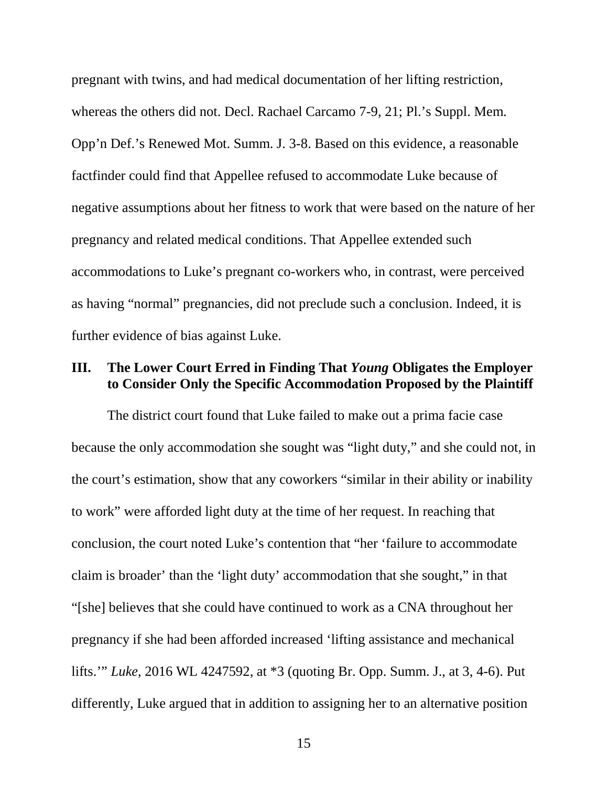pregnant with twins, and had medical documentation of her lifting restriction, whereas the others did not. Decl. Rachael Carcamo 7-9, 21; Pl.'s Suppl. Mem. Opp'n Def.'s Renewed Mot. Summ. J. 3-8. Based on this evidence, a reasonable factfinder could find that Appellee refused to accommodate Luke because of negative assumptions about her fitness to work that were based on the nature of her pregnancy and related medical conditions. That Appellee extended such accommodations to Luke's pregnant co-workers who, in contrast, were perceived as having "normal" pregnancies, did not preclude such a conclusion. Indeed, it is further evidence of bias against Luke.

#### **III. The Lower Court Erred in Finding That** *Young* **Obligates the Employer to Consider Only the Specific Accommodation Proposed by the Plaintiff**

The district court found that Luke failed to make out a prima facie case because the only accommodation she sought was "light duty," and she could not, in the court's estimation, show that any coworkers "similar in their ability or inability to work" were afforded light duty at the time of her request. In reaching that conclusion, the court noted Luke's contention that "her 'failure to accommodate claim is broader' than the 'light duty' accommodation that she sought," in that "[she] believes that she could have continued to work as a CNA throughout her pregnancy if she had been afforded increased 'lifting assistance and mechanical lifts.'" *Luke*, 2016 WL 4247592, at \*3 (quoting Br. Opp. Summ. J., at 3, 4-6). Put differently, Luke argued that in addition to assigning her to an alternative position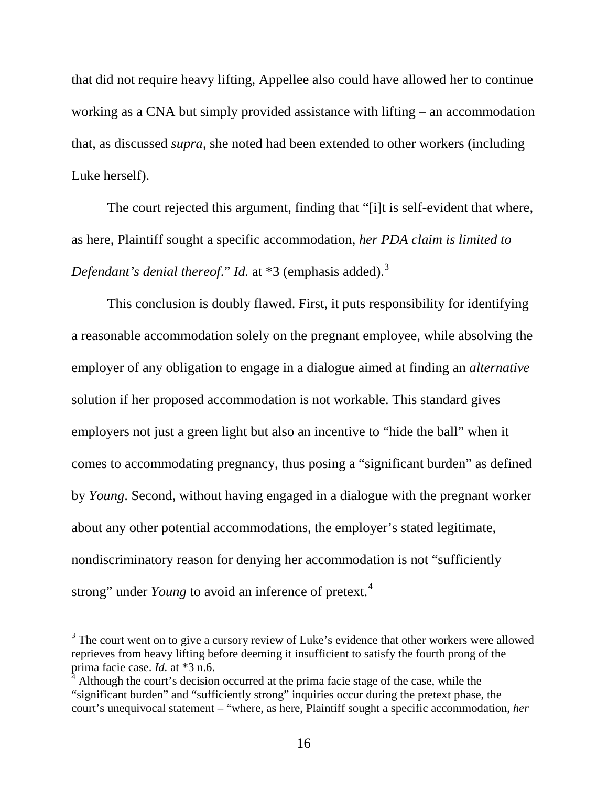that did not require heavy lifting, Appellee also could have allowed her to continue working as a CNA but simply provided assistance with lifting – an accommodation that, as discussed *supra*, she noted had been extended to other workers (including Luke herself).

The court rejected this argument, finding that "[i]t is self-evident that where, as here, Plaintiff sought a specific accommodation, *her PDA claim is limited to Defendant's denial thereof." Id.* at \*[3](#page-22-0) (emphasis added).<sup>3</sup>

This conclusion is doubly flawed. First, it puts responsibility for identifying a reasonable accommodation solely on the pregnant employee, while absolving the employer of any obligation to engage in a dialogue aimed at finding an *alternative*  solution if her proposed accommodation is not workable. This standard gives employers not just a green light but also an incentive to "hide the ball" when it comes to accommodating pregnancy, thus posing a "significant burden" as defined by *Young*. Second, without having engaged in a dialogue with the pregnant worker about any other potential accommodations, the employer's stated legitimate, nondiscriminatory reason for denying her accommodation is not "sufficiently strong" under *Young* to avoid an inference of pretext.<sup>[4](#page-22-1)</sup>

<span id="page-22-0"></span> $3$  The court went on to give a cursory review of Luke's evidence that other workers were allowed reprieves from heavy lifting before deeming it insufficient to satisfy the fourth prong of the prima facie case.  $Id$ . at  $*3$  n.6.

<span id="page-22-1"></span>Although the court's decision occurred at the prima facie stage of the case, while the "significant burden" and "sufficiently strong" inquiries occur during the pretext phase, the court's unequivocal statement – "where, as here, Plaintiff sought a specific accommodation, *her*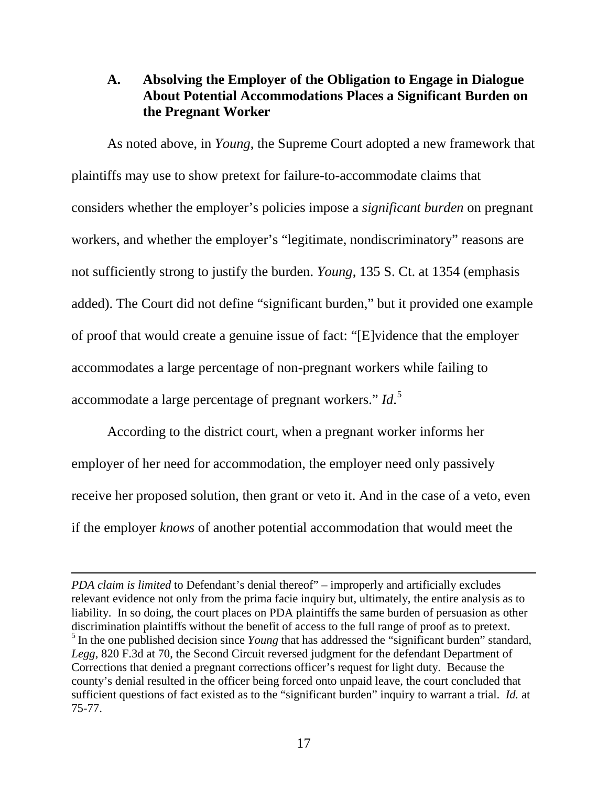#### **A. Absolving the Employer of the Obligation to Engage in Dialogue About Potential Accommodations Places a Significant Burden on the Pregnant Worker**

As noted above, in *Young*, the Supreme Court adopted a new framework that plaintiffs may use to show pretext for failure-to-accommodate claims that considers whether the employer's policies impose a *significant burden* on pregnant workers, and whether the employer's "legitimate, nondiscriminatory" reasons are not sufficiently strong to justify the burden. *Young*, 135 S. Ct. at 1354 (emphasis added). The Court did not define "significant burden," but it provided one example of proof that would create a genuine issue of fact: "[E]vidence that the employer accommodates a large percentage of non-pregnant workers while failing to accommodate a large percentage of pregnant workers." *Id*. [5](#page-23-0)

According to the district court, when a pregnant worker informs her employer of her need for accommodation, the employer need only passively receive her proposed solution, then grant or veto it. And in the case of a veto, even if the employer *knows* of another potential accommodation that would meet the

 $\overline{\phantom{a}}$ 

<span id="page-23-0"></span>*PDA claim is limited* to Defendant's denial thereof" – improperly and artificially excludes relevant evidence not only from the prima facie inquiry but, ultimately, the entire analysis as to liability. In so doing, the court places on PDA plaintiffs the same burden of persuasion as other discrimination plaintiffs without the benefit of access to the full range of proof as to pretext. <sup>5</sup> In the one published decision since *Young* that has addressed the "significant burden" standard, *Legg*, 820 F.3d at 70, the Second Circuit reversed judgment for the defendant Department of Corrections that denied a pregnant corrections officer's request for light duty. Because the county's denial resulted in the officer being forced onto unpaid leave, the court concluded that sufficient questions of fact existed as to the "significant burden" inquiry to warrant a trial. *Id.* at 75-77.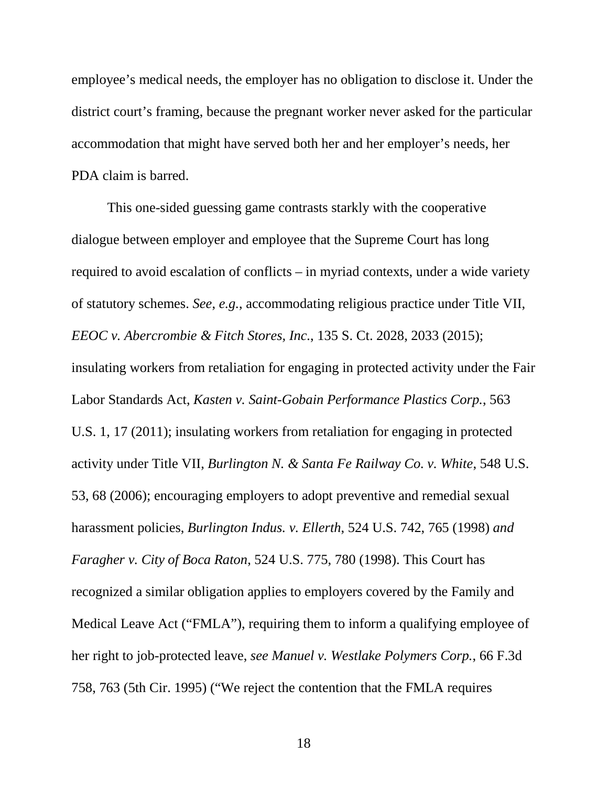employee's medical needs, the employer has no obligation to disclose it. Under the district court's framing, because the pregnant worker never asked for the particular accommodation that might have served both her and her employer's needs, her PDA claim is barred.

This one-sided guessing game contrasts starkly with the cooperative dialogue between employer and employee that the Supreme Court has long required to avoid escalation of conflicts – in myriad contexts, under a wide variety of statutory schemes. *See*, *e.g.*, accommodating religious practice under Title VII, *EEOC v. Abercrombie & Fitch Stores, Inc.*, 135 S. Ct. 2028, 2033 (2015); insulating workers from retaliation for engaging in protected activity under the Fair Labor Standards Act, *Kasten v. Saint-Gobain Performance Plastics Corp.*, 563 U.S. 1, 17 (2011); insulating workers from retaliation for engaging in protected activity under Title VII, *Burlington N. & Santa Fe Railway Co. v. White*, 548 U.S. 53, 68 (2006); encouraging employers to adopt preventive and remedial sexual harassment policies, *Burlington Indus. v. Ellerth*, 524 U.S. 742, 765 (1998) *and Faragher v. City of Boca Raton*, 524 U.S. 775, 780 (1998). This Court has recognized a similar obligation applies to employers covered by the Family and Medical Leave Act ("FMLA"), requiring them to inform a qualifying employee of her right to job-protected leave, *see Manuel v. Westlake Polymers Corp.*, 66 F.3d 758, 763 (5th Cir. 1995) ("We reject the contention that the FMLA requires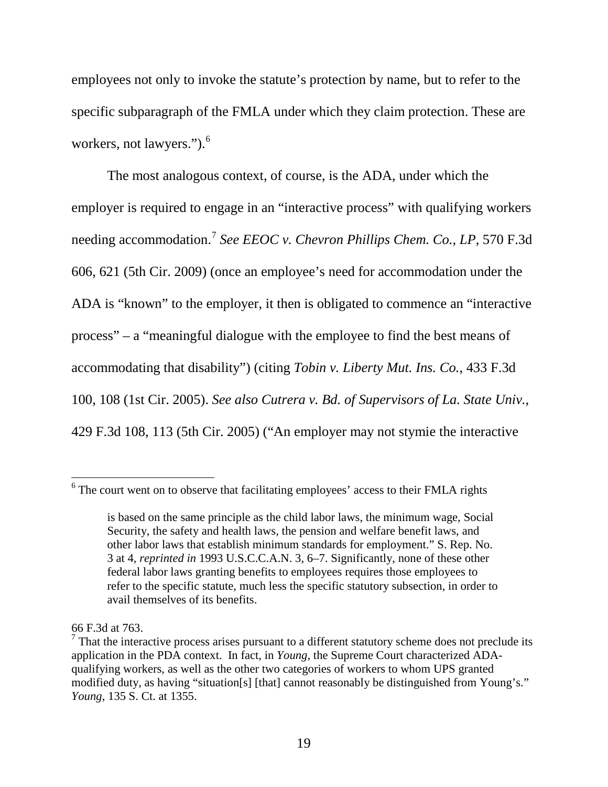employees not only to invoke the statute's protection by name, but to refer to the specific subparagraph of the FMLA under which they claim protection. These are workers, not lawyers.").<sup>[6](#page-25-0)</sup>

The most analogous context, of course, is the ADA, under which the employer is required to engage in an "interactive process" with qualifying workers needing accommodation.[7](#page-25-1) *See EEOC v. Chevron Phillips Chem. Co., LP*, 570 F.3d 606, 621 (5th Cir. 2009) (once an employee's need for accommodation under the ADA is "known" to the employer, it then is obligated to commence an "interactive process" – a "meaningful dialogue with the employee to find the best means of accommodating that disability") (citing *Tobin v. Liberty Mut. Ins. Co.*, 433 F.3d 100, 108 (1st Cir. 2005). *See also Cutrera v. Bd. of Supervisors of La. State Univ.*, 429 F.3d 108, 113 (5th Cir. 2005) ("An employer may not stymie the interactive

<span id="page-25-0"></span><sup>&</sup>lt;sup>6</sup> The court went on to observe that facilitating employees' access to their FMLA rights

is based on the same principle as the child labor laws, the minimum wage, Social Security, the safety and health laws, the pension and welfare benefit laws, and other labor laws that establish minimum standards for employment." S. Rep. No. 3 at 4, *reprinted in* 1993 U.S.C.C.A.N. 3, 6–7. Significantly, none of these other federal labor laws granting benefits to employees requires those employees to refer to the specific statute, much less the specific statutory subsection, in order to avail themselves of its benefits.

<span id="page-25-1"></span><sup>66</sup> F.3d at 763.<br><sup>7</sup> That the interactive process arises pursuant to a different statutory scheme does not preclude its application in the PDA context. In fact, in *Young*, the Supreme Court characterized ADAqualifying workers, as well as the other two categories of workers to whom UPS granted modified duty, as having "situation[s] [that] cannot reasonably be distinguished from Young's." *Young*, 135 S. Ct. at 1355.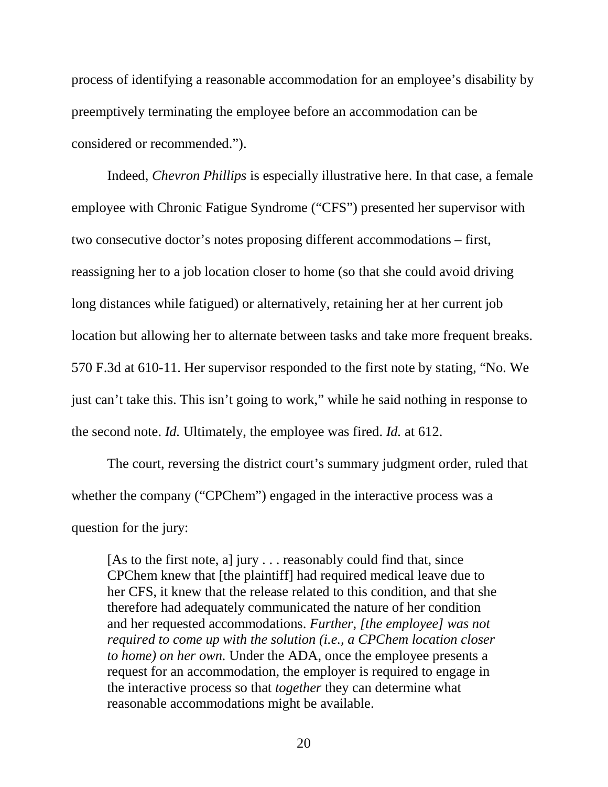process of identifying a reasonable accommodation for an employee's disability by preemptively terminating the employee before an accommodation can be considered or recommended.").

Indeed, *Chevron Phillips* is especially illustrative here. In that case, a female employee with Chronic Fatigue Syndrome ("CFS") presented her supervisor with two consecutive doctor's notes proposing different accommodations – first, reassigning her to a job location closer to home (so that she could avoid driving long distances while fatigued) or alternatively, retaining her at her current job location but allowing her to alternate between tasks and take more frequent breaks. 570 F.3d at 610-11. Her supervisor responded to the first note by stating, "No. We just can't take this. This isn't going to work," while he said nothing in response to the second note. *Id.* Ultimately, the employee was fired. *Id.* at 612.

The court, reversing the district court's summary judgment order, ruled that whether the company ("CPChem") engaged in the interactive process was a question for the jury:

[As to the first note, a] jury . . . reasonably could find that, since CPChem knew that [the plaintiff] had required medical leave due to her CFS, it knew that the release related to this condition, and that she therefore had adequately communicated the nature of her condition and her requested accommodations. *Further, [the employee] was not required to come up with the solution (i.e., a CPChem location closer to home) on her own.* Under the ADA, once the employee presents a request for an accommodation, the employer is required to engage in the interactive process so that *together* they can determine what reasonable accommodations might be available.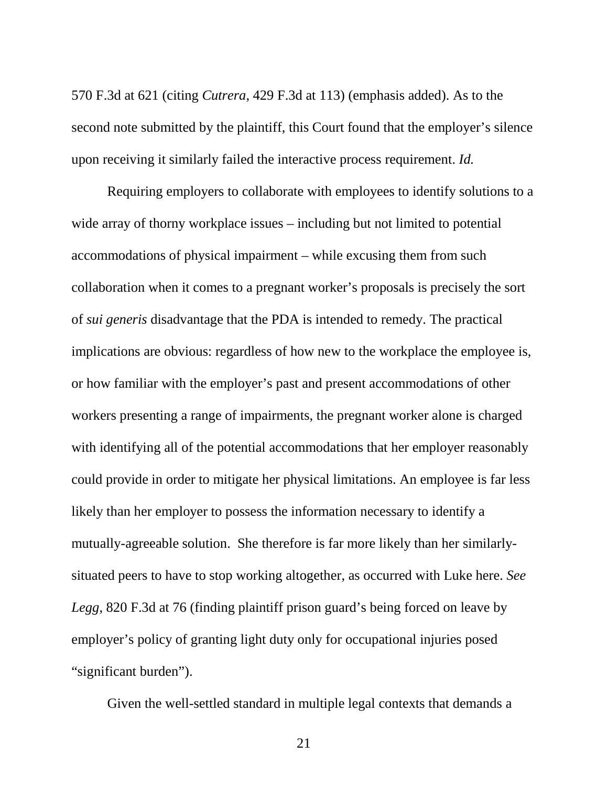570 F.3d at 621 (citing *Cutrera*, 429 F.3d at 113) (emphasis added). As to the second note submitted by the plaintiff, this Court found that the employer's silence upon receiving it similarly failed the interactive process requirement. *Id.*

Requiring employers to collaborate with employees to identify solutions to a wide array of thorny workplace issues – including but not limited to potential accommodations of physical impairment – while excusing them from such collaboration when it comes to a pregnant worker's proposals is precisely the sort of *sui generis* disadvantage that the PDA is intended to remedy. The practical implications are obvious: regardless of how new to the workplace the employee is, or how familiar with the employer's past and present accommodations of other workers presenting a range of impairments, the pregnant worker alone is charged with identifying all of the potential accommodations that her employer reasonably could provide in order to mitigate her physical limitations. An employee is far less likely than her employer to possess the information necessary to identify a mutually-agreeable solution. She therefore is far more likely than her similarlysituated peers to have to stop working altogether, as occurred with Luke here. *See Legg*, 820 F.3d at 76 (finding plaintiff prison guard's being forced on leave by employer's policy of granting light duty only for occupational injuries posed "significant burden").

Given the well-settled standard in multiple legal contexts that demands a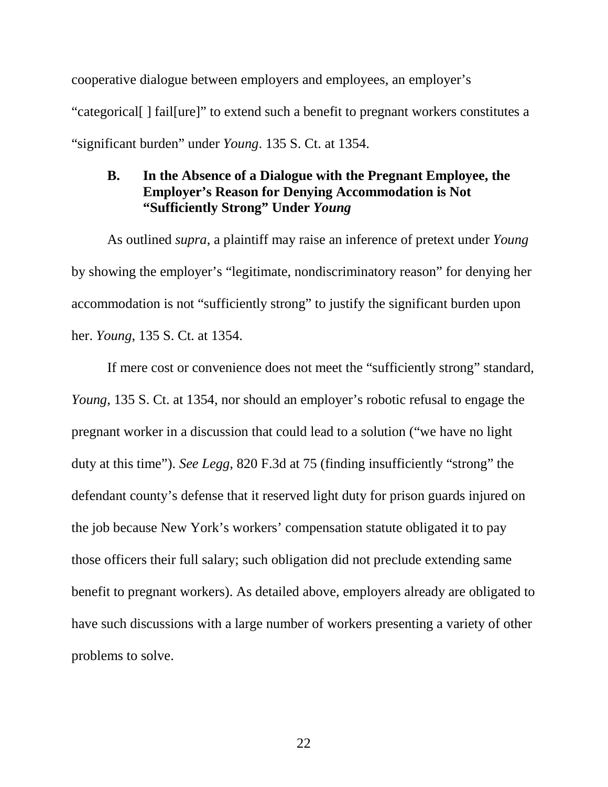cooperative dialogue between employers and employees, an employer's "categorical[ ] fail[ure]" to extend such a benefit to pregnant workers constitutes a "significant burden" under *Young*. 135 S. Ct. at 1354.

#### **B. In the Absence of a Dialogue with the Pregnant Employee, the Employer's Reason for Denying Accommodation is Not "Sufficiently Strong" Under** *Young*

As outlined *supra*, a plaintiff may raise an inference of pretext under *Young*  by showing the employer's "legitimate, nondiscriminatory reason" for denying her accommodation is not "sufficiently strong" to justify the significant burden upon her. *Young*, 135 S. Ct. at 1354.

If mere cost or convenience does not meet the "sufficiently strong" standard, *Young*, 135 S. Ct. at 1354, nor should an employer's robotic refusal to engage the pregnant worker in a discussion that could lead to a solution ("we have no light duty at this time"). *See Legg*, 820 F.3d at 75 (finding insufficiently "strong" the defendant county's defense that it reserved light duty for prison guards injured on the job because New York's workers' compensation statute obligated it to pay those officers their full salary; such obligation did not preclude extending same benefit to pregnant workers). As detailed above, employers already are obligated to have such discussions with a large number of workers presenting a variety of other problems to solve.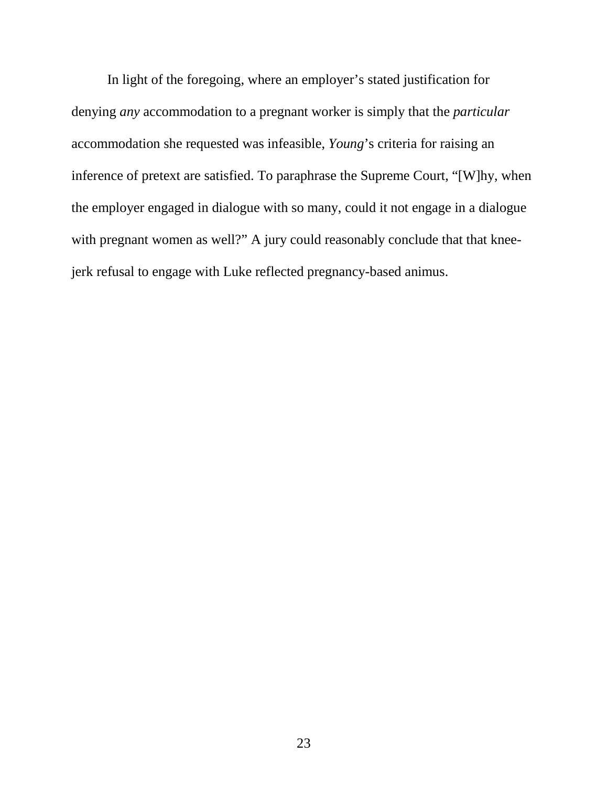In light of the foregoing, where an employer's stated justification for denying *any* accommodation to a pregnant worker is simply that the *particular* accommodation she requested was infeasible, *Young*'s criteria for raising an inference of pretext are satisfied. To paraphrase the Supreme Court, "[W]hy, when the employer engaged in dialogue with so many, could it not engage in a dialogue with pregnant women as well?" A jury could reasonably conclude that that kneejerk refusal to engage with Luke reflected pregnancy-based animus.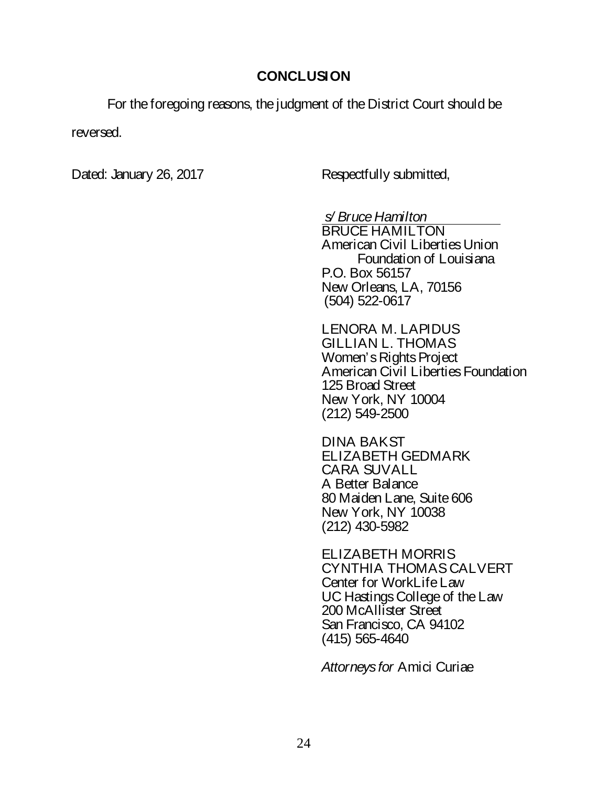#### **CONCLUSION**

For the foregoing reasons, the judgment of the District Court should be reversed.

Dated: January 26, 2017 Respectfully submitted,

*s/ Bruce Hamilton*  BRUCE HAMILTON American Civil Liberties Union Foundation of Louisiana P.O. Box 56157 New Orleans, LA, 70156 (504) 522-0617

LENORA M. LAPIDUS GILLIAN L. THOMAS Women's Rights Project American Civil Liberties Foundation 125 Broad Street New York, NY 10004 (212) 549-2500

DINA BAKST ELIZABETH GEDMARK CARA SUVALL A Better Balance 80 Maiden Lane, Suite 606 New York, NY 10038 (212) 430-5982

ELIZABETH MORRIS CYNTHIA THOMAS CALVERT Center for WorkLife Law UC Hastings College of the Law 200 McAllister Street San Francisco, CA 94102 (415) 565-4640

*Attorneys for* Amici Curiae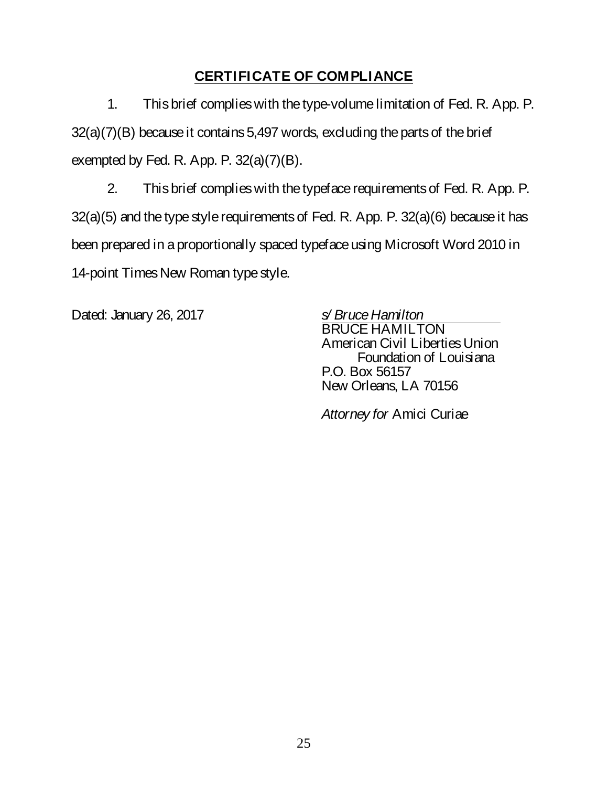### **CERTIFICATE OF COMPLIANCE**

1. This brief complies with the type-volume limitation of Fed. R. App. P. 32(a)(7)(B) because it contains 5,497 words, excluding the parts of the brief exempted by Fed. R. App. P. 32(a)(7)(B).

2. This brief complies with the typeface requirements of Fed. R. App. P. 32(a)(5) and the type style requirements of Fed. R. App. P. 32(a)(6) because it has been prepared in a proportionally spaced typeface using Microsoft Word 2010 in 14-point Times New Roman type style.

Dated: January 26, 2017 *s/ Bruce Hamilton* 

BRUCE HAMILTON American Civil Liberties Union Foundation of Louisiana P.O. Box 56157 New Orleans, LA 70156

*Attorney for* Amici Curiae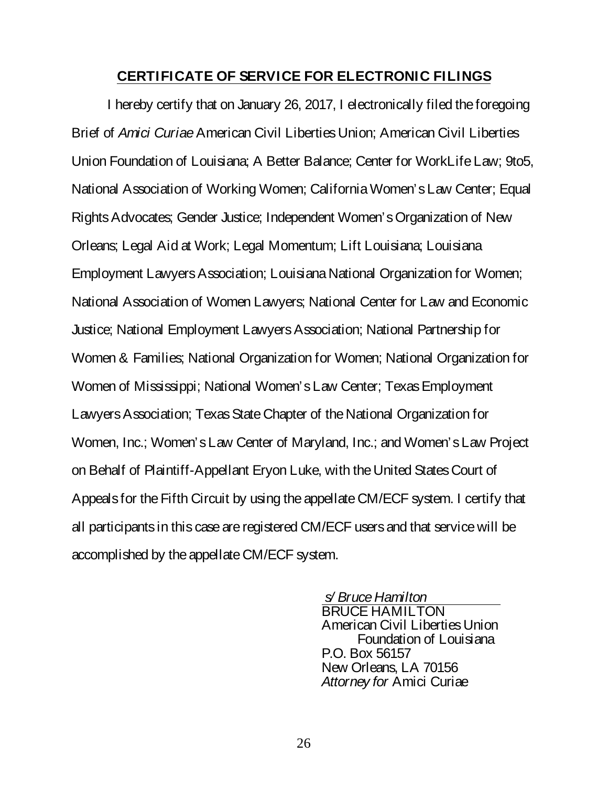#### **CERTIFICATE OF SERVICE FOR ELECTRONIC FILINGS**

I hereby certify that on January 26, 2017, I electronically filed the foregoing Brief of *Amici Curiae* American Civil Liberties Union; American Civil Liberties Union Foundation of Louisiana; A Better Balance; Center for WorkLife Law; 9to5, National Association of Working Women; California Women's Law Center; Equal Rights Advocates; Gender Justice; Independent Women's Organization of New Orleans; Legal Aid at Work; Legal Momentum; Lift Louisiana; Louisiana Employment LawyersAssociation; Louisiana National Organization for Women; National Association of Women Lawyers; National Center for Law and Economic Justice; National Employment Lawyers Association; National Partnership for Women & Families; National Organization for Women; National Organization for Women of Mississippi; National Women's Law Center; Texas Employment Lawyers Association; Texas State Chapter of the National Organization for Women, Inc.; Women's Law Center of Maryland, Inc.; and Women's Law Project on Behalf of Plaintiff-Appellant Eryon Luke, with the United States Court of Appeals for the Fifth Circuit by using the appellate CM/ECF system. I certify that all participants in this case are registered CM/ECF users and that service will be accomplished by the appellate CM/ECF system.

> *s/ Bruce Hamilton*  BRUCE HAMILTON American Civil Liberties Union Foundation of Louisiana P.O. Box 56157 New Orleans, LA 70156 *Attorney for* Amici Curiae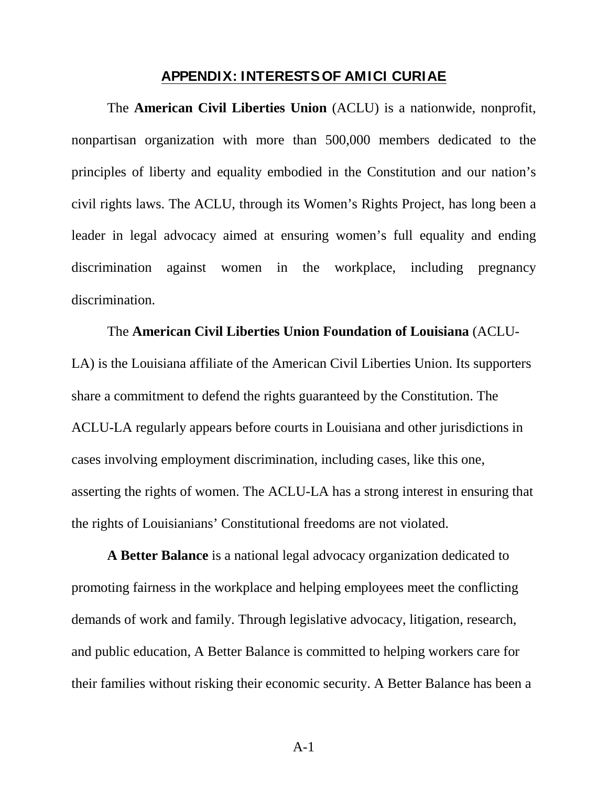#### **APPENDIX: INTERESTS OF AMICI CURIAE**

The **American Civil Liberties Union** (ACLU) is a nationwide, nonprofit, nonpartisan organization with more than 500,000 members dedicated to the principles of liberty and equality embodied in the Constitution and our nation's civil rights laws. The ACLU, through its Women's Rights Project, has long been a leader in legal advocacy aimed at ensuring women's full equality and ending discrimination against women in the workplace, including pregnancy discrimination.

The **American Civil Liberties Union Foundation of Louisiana** (ACLU-

LA) is the Louisiana affiliate of the American Civil Liberties Union. Its supporters share a commitment to defend the rights guaranteed by the Constitution. The ACLU-LA regularly appears before courts in Louisiana and other jurisdictions in cases involving employment discrimination, including cases, like this one, asserting the rights of women. The ACLU-LA has a strong interest in ensuring that the rights of Louisianians' Constitutional freedoms are not violated.

**A Better Balance** is a national legal advocacy organization dedicated to promoting fairness in the workplace and helping employees meet the conflicting demands of work and family. Through legislative advocacy, litigation, research, and public education, A Better Balance is committed to helping workers care for their families without risking their economic security. A Better Balance has been a

A-1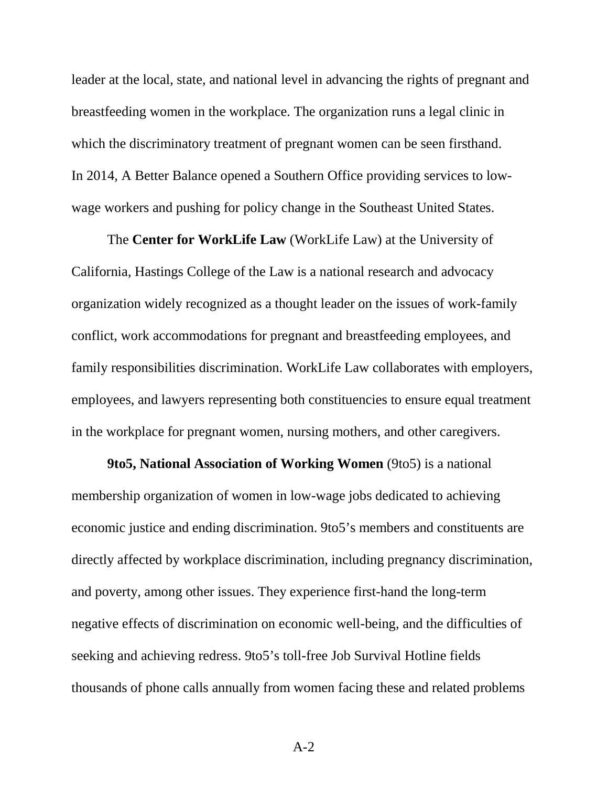leader at the local, state, and national level in advancing the rights of pregnant and breastfeeding women in the workplace. The organization runs a legal clinic in which the discriminatory treatment of pregnant women can be seen firsthand. In 2014, A Better Balance opened a Southern Office providing services to lowwage workers and pushing for policy change in the Southeast United States.

The **Center for WorkLife Law** (WorkLife Law) at the University of California, Hastings College of the Law is a national research and advocacy organization widely recognized as a thought leader on the issues of work-family conflict, work accommodations for pregnant and breastfeeding employees, and family responsibilities discrimination. WorkLife Law collaborates with employers, employees, and lawyers representing both constituencies to ensure equal treatment in the workplace for pregnant women, nursing mothers, and other caregivers.

**9to5, National Association of Working Women** (9to5) is a national membership organization of women in low-wage jobs dedicated to achieving economic justice and ending discrimination. 9to5's members and constituents are directly affected by workplace discrimination, including pregnancy discrimination, and poverty, among other issues. They experience first-hand the long-term negative effects of discrimination on economic well-being, and the difficulties of seeking and achieving redress. 9to5's toll-free Job Survival Hotline fields thousands of phone calls annually from women facing these and related problems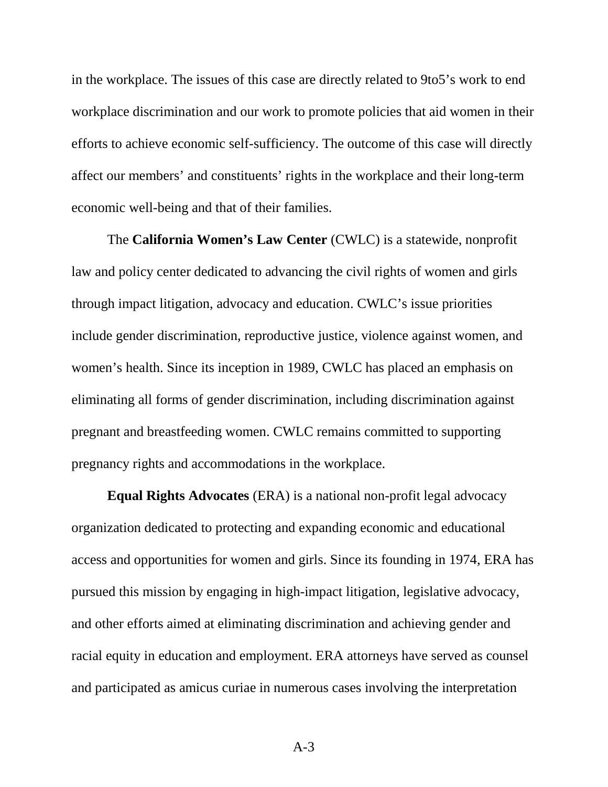in the workplace. The issues of this case are directly related to 9to5's work to end workplace discrimination and our work to promote policies that aid women in their efforts to achieve economic self-sufficiency. The outcome of this case will directly affect our members' and constituents' rights in the workplace and their long-term economic well-being and that of their families.

The **California Women's Law Center** (CWLC) is a statewide, nonprofit law and policy center dedicated to advancing the civil rights of women and girls through impact litigation, advocacy and education. CWLC's issue priorities include gender discrimination, reproductive justice, violence against women, and women's health. Since its inception in 1989, CWLC has placed an emphasis on eliminating all forms of gender discrimination, including discrimination against pregnant and breastfeeding women. CWLC remains committed to supporting pregnancy rights and accommodations in the workplace.

**Equal Rights Advocates** (ERA) is a national non-profit legal advocacy organization dedicated to protecting and expanding economic and educational access and opportunities for women and girls. Since its founding in 1974, ERA has pursued this mission by engaging in high-impact litigation, legislative advocacy, and other efforts aimed at eliminating discrimination and achieving gender and racial equity in education and employment. ERA attorneys have served as counsel and participated as amicus curiae in numerous cases involving the interpretation

A-3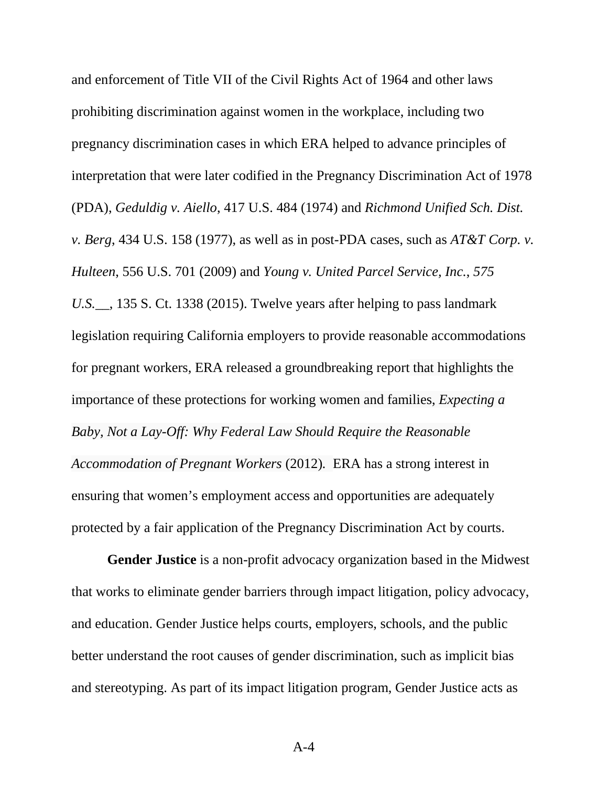and enforcement of Title VII of the Civil Rights Act of 1964 and other laws prohibiting discrimination against women in the workplace, including two pregnancy discrimination cases in which ERA helped to advance principles of interpretation that were later codified in the Pregnancy Discrimination Act of 1978 (PDA), *Geduldig v. Aiello*, 417 U.S. 484 (1974) and *Richmond Unified Sch. Dist. v. Berg*, 434 U.S. 158 (1977), as well as in post-PDA cases, such as *AT&T Corp. v. Hulteen*, 556 U.S. 701 (2009) and *Young v. United Parcel Service, Inc.*, *575 U.S.*\_\_, 135 S. Ct. 1338 (2015). Twelve years after helping to pass landmark legislation requiring California employers to provide reasonable accommodations for pregnant workers, ERA released a groundbreaking report that highlights the importance of these protections for working women and families, *Expecting a Baby, Not a Lay-Off: Why Federal Law Should Require the Reasonable Accommodation of Pregnant Workers* (2012)*.* ERA has a strong interest in ensuring that women's employment access and opportunities are adequately protected by a fair application of the Pregnancy Discrimination Act by courts.

**Gender Justice** is a non-profit advocacy organization based in the Midwest that works to eliminate gender barriers through impact litigation, policy advocacy, and education. Gender Justice helps courts, employers, schools, and the public better understand the root causes of gender discrimination, such as implicit bias and stereotyping. As part of its impact litigation program, Gender Justice acts as

 $A-4$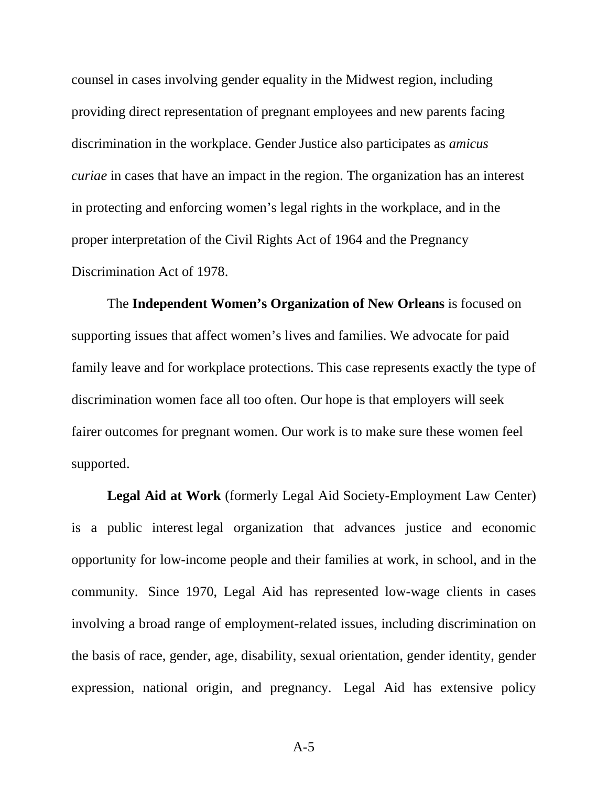counsel in cases involving gender equality in the Midwest region, including providing direct representation of pregnant employees and new parents facing discrimination in the workplace. Gender Justice also participates as *amicus curiae* in cases that have an impact in the region. The organization has an interest in protecting and enforcing women's legal rights in the workplace, and in the proper interpretation of the Civil Rights Act of 1964 and the Pregnancy Discrimination Act of 1978.

The **Independent Women's Organization of New Orleans** is focused on supporting issues that affect women's lives and families. We advocate for paid family leave and for workplace protections. This case represents exactly the type of discrimination women face all too often. Our hope is that employers will seek fairer outcomes for pregnant women. Our work is to make sure these women feel supported.

**Legal Aid at Work** (formerly Legal Aid Society-Employment Law Center) is a public interest legal organization that advances justice and economic opportunity for low-income people and their families at work, in school, and in the community. Since 1970, Legal Aid has represented low-wage clients in cases involving a broad range of employment-related issues, including discrimination on the basis of race, gender, age, disability, sexual orientation, gender identity, gender expression, national origin, and pregnancy. Legal Aid has extensive policy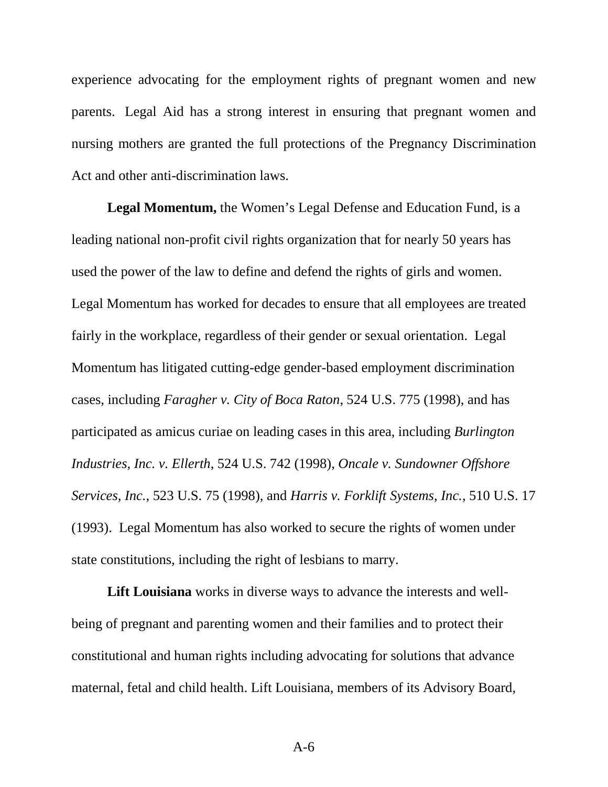experience advocating for the employment rights of pregnant women and new parents. Legal Aid has a strong interest in ensuring that pregnant women and nursing mothers are granted the full protections of the Pregnancy Discrimination Act and other anti-discrimination laws.

**Legal Momentum,** the Women's Legal Defense and Education Fund, is a leading national non-profit civil rights organization that for nearly 50 years has used the power of the law to define and defend the rights of girls and women. Legal Momentum has worked for decades to ensure that all employees are treated fairly in the workplace, regardless of their gender or sexual orientation. Legal Momentum has litigated cutting-edge gender-based employment discrimination cases, including *Faragher v. City of Boca Raton*, 524 U.S. 775 (1998), and has participated as amicus curiae on leading cases in this area, including *Burlington Industries, Inc. v. Ellerth*, 524 U.S. 742 (1998), *Oncale v. Sundowner Offshore Services, Inc.*, 523 U.S. 75 (1998), and *Harris v. Forklift Systems, Inc.*, 510 U.S. 17 (1993). Legal Momentum has also worked to secure the rights of women under state constitutions, including the right of lesbians to marry.

**Lift Louisiana** works in diverse ways to advance the interests and wellbeing of pregnant and parenting women and their families and to protect their constitutional and human rights including advocating for solutions that advance maternal, fetal and child health. Lift Louisiana, members of its Advisory Board,

A-6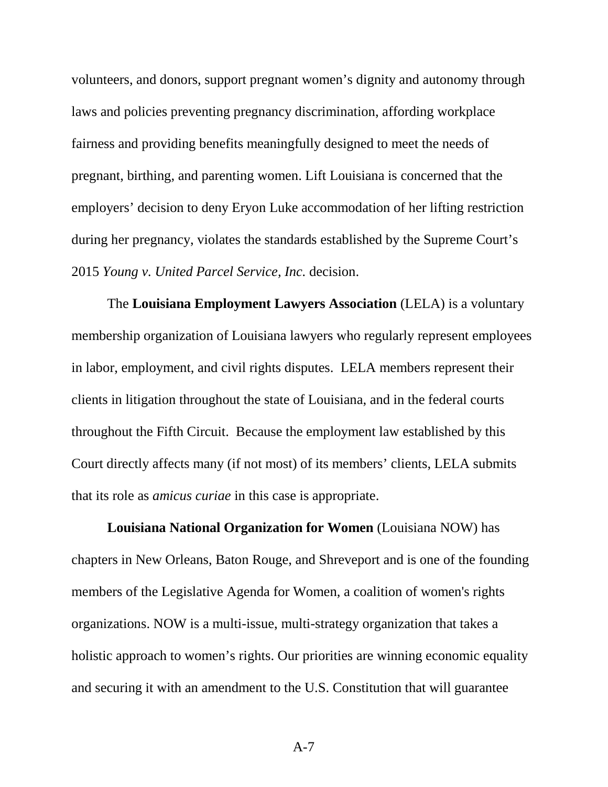volunteers, and donors, support pregnant women's dignity and autonomy through laws and policies preventing pregnancy discrimination, affording workplace fairness and providing benefits meaningfully designed to meet the needs of pregnant, birthing, and parenting women. Lift Louisiana is concerned that the employers' decision to deny Eryon Luke accommodation of her lifting restriction during her pregnancy, violates the standards established by the Supreme Court's 2015 *Young v. United Parcel Service, Inc.* decision.

The **Louisiana Employment Lawyers Association** (LELA) is a voluntary membership organization of Louisiana lawyers who regularly represent employees in labor, employment, and civil rights disputes. LELA members represent their clients in litigation throughout the state of Louisiana, and in the federal courts throughout the Fifth Circuit. Because the employment law established by this Court directly affects many (if not most) of its members' clients, LELA submits that its role as *amicus curiae* in this case is appropriate.

**Louisiana National Organization for Women** (Louisiana NOW) has chapters in New Orleans, Baton Rouge, and Shreveport and is one of the founding members of the Legislative Agenda for Women, a coalition of women's rights organizations. NOW is a multi-issue, multi-strategy organization that takes a holistic approach to women's rights. Our priorities are winning economic equality and securing it with an amendment to the U.S. Constitution that will guarantee

A-7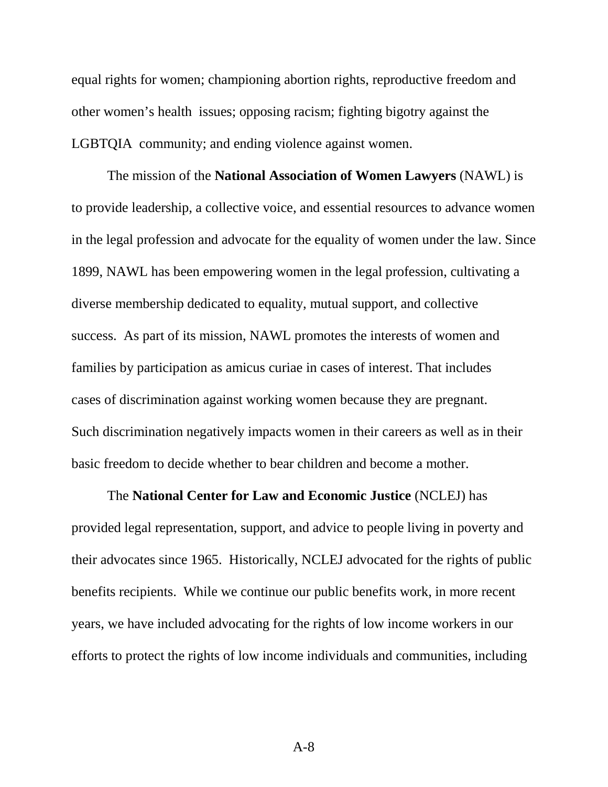equal rights for women; championing abortion rights, reproductive freedom and other women's health issues; opposing racism; fighting bigotry against the LGBTQIA community; and ending violence against women.

The mission of the **National Association of Women Lawyers** (NAWL) is to provide leadership, a collective voice, and essential resources to advance women in the legal profession and advocate for the equality of women under the law. Since 1899, NAWL has been empowering women in the legal profession, cultivating a diverse membership dedicated to equality, mutual support, and collective success. As part of its mission, NAWL promotes the interests of women and families by participation as amicus curiae in cases of interest. That includes cases of discrimination against working women because they are pregnant. Such discrimination negatively impacts women in their careers as well as in their basic freedom to decide whether to bear children and become a mother.

The **National Center for Law and Economic Justice** (NCLEJ) has provided legal representation, support, and advice to people living in poverty and their advocates since 1965. Historically, NCLEJ advocated for the rights of public benefits recipients. While we continue our public benefits work, in more recent years, we have included advocating for the rights of low income workers in our efforts to protect the rights of low income individuals and communities, including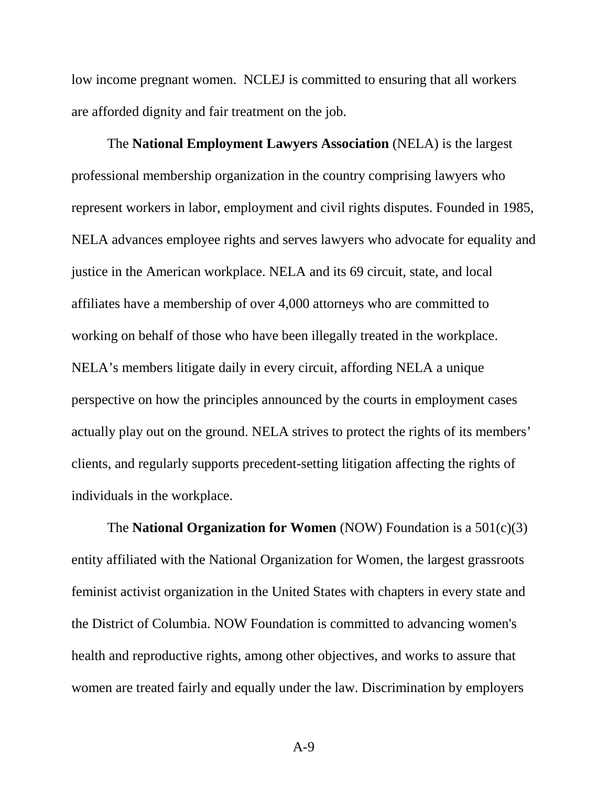low income pregnant women. NCLEJ is committed to ensuring that all workers are afforded dignity and fair treatment on the job.

The **National Employment Lawyers Association** (NELA) is the largest professional membership organization in the country comprising lawyers who represent workers in labor, employment and civil rights disputes. Founded in 1985, NELA advances employee rights and serves lawyers who advocate for equality and justice in the American workplace. NELA and its 69 circuit, state, and local affiliates have a membership of over 4,000 attorneys who are committed to working on behalf of those who have been illegally treated in the workplace. NELA's members litigate daily in every circuit, affording NELA a unique perspective on how the principles announced by the courts in employment cases actually play out on the ground. NELA strives to protect the rights of its members' clients, and regularly supports precedent-setting litigation affecting the rights of individuals in the workplace.

The **National Organization for Women** (NOW) Foundation is a 501(c)(3) entity affiliated with the National Organization for Women, the largest grassroots feminist activist organization in the United States with chapters in every state and the District of Columbia. NOW Foundation is committed to advancing women's health and reproductive rights, among other objectives, and works to assure that women are treated fairly and equally under the law. Discrimination by employers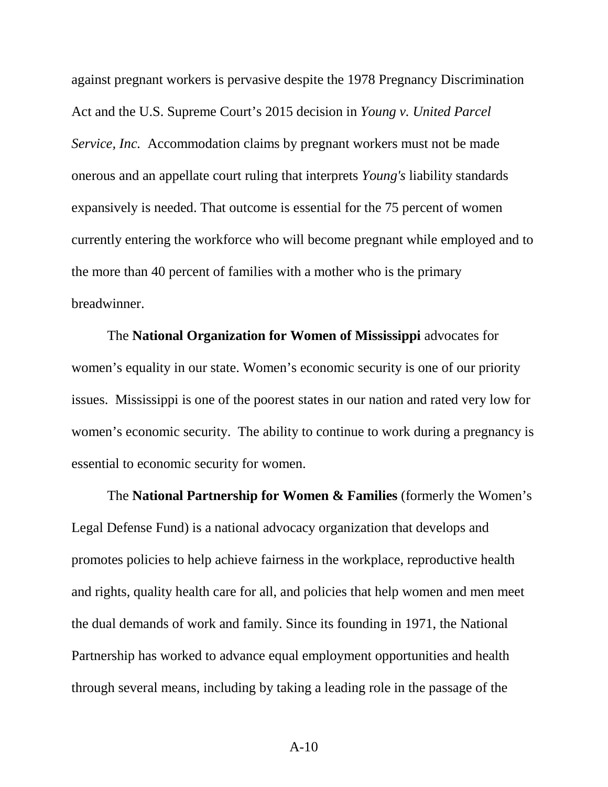against pregnant workers is pervasive despite the 1978 Pregnancy Discrimination Act and the U.S. Supreme Court's 2015 decision in *Young v. United Parcel Service, Inc.* Accommodation claims by pregnant workers must not be made onerous and an appellate court ruling that interprets *Young's* liability standards expansively is needed. That outcome is essential for the 75 percent of women currently entering the workforce who will become pregnant while employed and to the more than 40 percent of families with a mother who is the primary breadwinner.

The **National Organization for Women of Mississippi** advocates for women's equality in our state. Women's economic security is one of our priority issues. Mississippi is one of the poorest states in our nation and rated very low for women's economic security. The ability to continue to work during a pregnancy is essential to economic security for women.

The **National Partnership for Women & Families** (formerly the Women's Legal Defense Fund) is a national advocacy organization that develops and promotes policies to help achieve fairness in the workplace, reproductive health and rights, quality health care for all, and policies that help women and men meet the dual demands of work and family. Since its founding in 1971, the National Partnership has worked to advance equal employment opportunities and health through several means, including by taking a leading role in the passage of the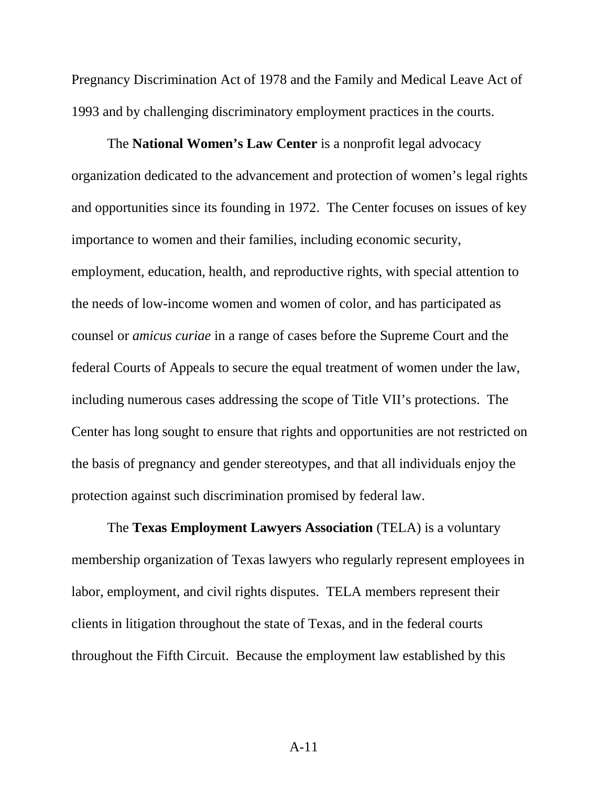Pregnancy Discrimination Act of 1978 and the Family and Medical Leave Act of 1993 and by challenging discriminatory employment practices in the courts.

The **National Women's Law Center** is a nonprofit legal advocacy organization dedicated to the advancement and protection of women's legal rights and opportunities since its founding in 1972. The Center focuses on issues of key importance to women and their families, including economic security, employment, education, health, and reproductive rights, with special attention to the needs of low-income women and women of color, and has participated as counsel or *amicus curiae* in a range of cases before the Supreme Court and the federal Courts of Appeals to secure the equal treatment of women under the law, including numerous cases addressing the scope of Title VII's protections. The Center has long sought to ensure that rights and opportunities are not restricted on the basis of pregnancy and gender stereotypes, and that all individuals enjoy the protection against such discrimination promised by federal law.

The **Texas Employment Lawyers Association** (TELA) is a voluntary membership organization of Texas lawyers who regularly represent employees in labor, employment, and civil rights disputes. TELA members represent their clients in litigation throughout the state of Texas, and in the federal courts throughout the Fifth Circuit. Because the employment law established by this

A-11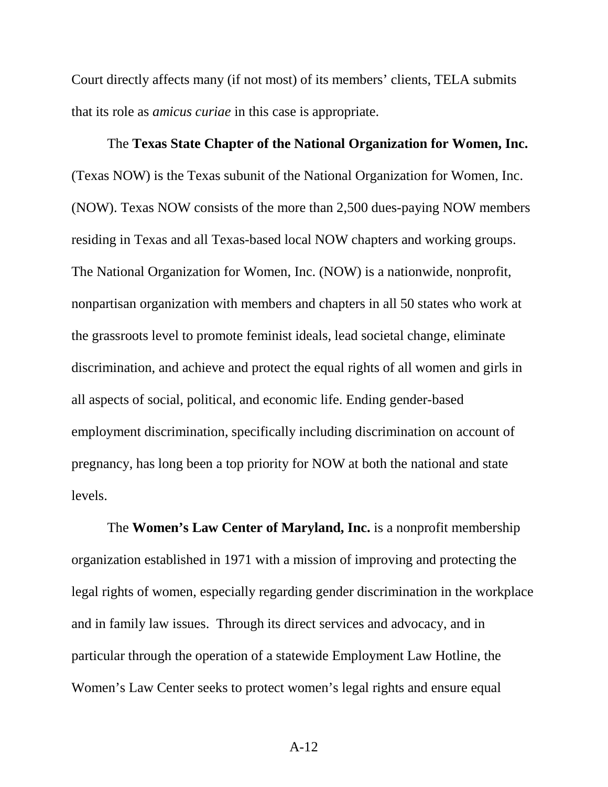Court directly affects many (if not most) of its members' clients, TELA submits that its role as *amicus curiae* in this case is appropriate.

The **Texas State Chapter of the National Organization for Women, Inc.** (Texas NOW) is the Texas subunit of the National Organization for Women, Inc. (NOW). Texas NOW consists of the more than 2,500 dues-paying NOW members residing in Texas and all Texas-based local NOW chapters and working groups. The National Organization for Women, Inc. (NOW) is a nationwide, nonprofit, nonpartisan organization with members and chapters in all 50 states who work at the grassroots level to promote feminist ideals, lead societal change, eliminate discrimination, and achieve and protect the equal rights of all women and girls in all aspects of social, political, and economic life. Ending gender-based employment discrimination, specifically including discrimination on account of pregnancy, has long been a top priority for NOW at both the national and state levels.

The **Women's Law Center of Maryland, Inc.** is a nonprofit membership organization established in 1971 with a mission of improving and protecting the legal rights of women, especially regarding gender discrimination in the workplace and in family law issues. Through its direct services and advocacy, and in particular through the operation of a statewide Employment Law Hotline, the Women's Law Center seeks to protect women's legal rights and ensure equal